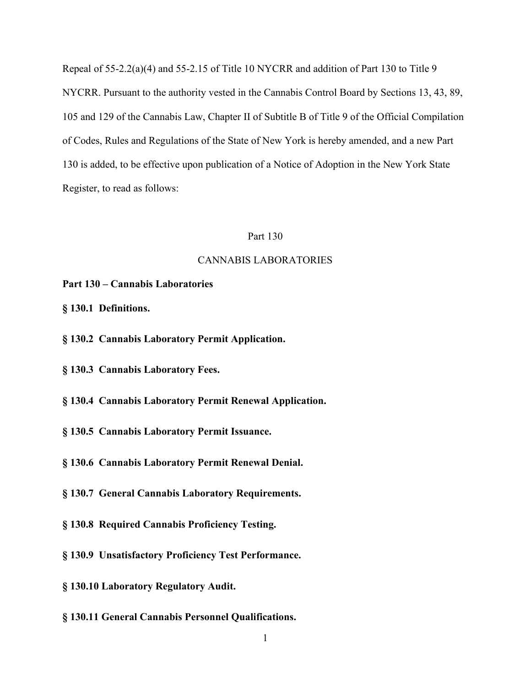Repeal of 55-2.2(a)(4) and 55-2.15 of Title 10 NYCRR and addition of Part 130 to Title 9 NYCRR. Pursuant to the authority vested in the Cannabis Control Board by Sections 13, 43, 89, 105 and 129 of the Cannabis Law, Chapter II of Subtitle B of Title 9 of the Official Compilation of Codes, Rules and Regulations of the State of New York is hereby amended, and a new Part 130 is added, to be effective upon publication of a Notice of Adoption in the New York State Register, to read as follows:

#### Part 130

# CANNABIS LABORATORIES

- **Part 130 – Cannabis Laboratories**
- **§ 130.1 Definitions.**
- **§ 130.2 Cannabis Laboratory Permit Application.**
- **§ 130.3 Cannabis Laboratory Fees.**
- **§ 130.4 Cannabis Laboratory Permit Renewal Application.**
- **§ 130.5 Cannabis Laboratory Permit Issuance.**
- **§ 130.6 Cannabis Laboratory Permit Renewal Denial.**
- **§ 130.7 General Cannabis Laboratory Requirements.**
- **§ 130.8 Required Cannabis Proficiency Testing.**
- **§ 130.9 Unsatisfactory Proficiency Test Performance.**
- **§ 130.10 Laboratory Regulatory Audit.**
- **§ 130.11 General Cannabis Personnel Qualifications.**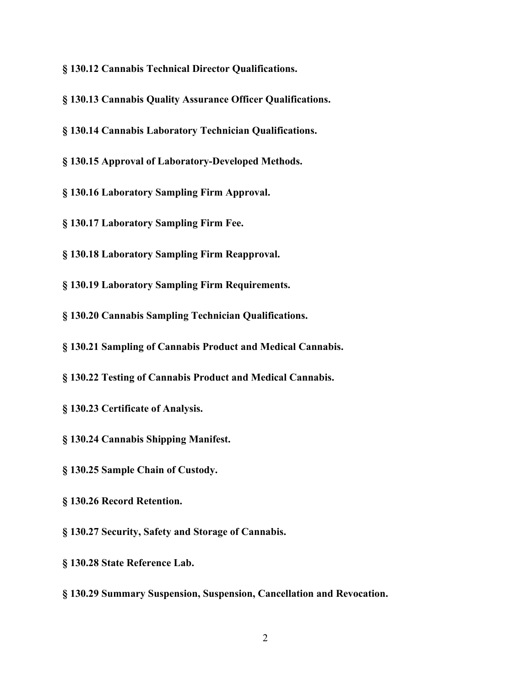**§ 130.12 Cannabis Technical Director Qualifications.**

**§ 130.13 Cannabis Quality Assurance Officer Qualifications.**

**§ 130.14 Cannabis Laboratory Technician Qualifications.**

**§ 130.15 Approval of Laboratory-Developed Methods.**

**§ 130.16 Laboratory Sampling Firm Approval.**

**§ 130.17 Laboratory Sampling Firm Fee.**

**§ 130.18 Laboratory Sampling Firm Reapproval.**

**§ 130.19 Laboratory Sampling Firm Requirements.**

**§ 130.20 Cannabis Sampling Technician Qualifications.**

**§ 130.21 Sampling of Cannabis Product and Medical Cannabis.**

**§ 130.22 Testing of Cannabis Product and Medical Cannabis.**

**§ 130.23 Certificate of Analysis.**

**§ 130.24 Cannabis Shipping Manifest.**

**§ 130.25 Sample Chain of Custody.**

**§ 130.26 Record Retention.**

**§ 130.27 Security, Safety and Storage of Cannabis.**

**§ 130.28 State Reference Lab.**

**§ 130.29 Summary Suspension, Suspension, Cancellation and Revocation.**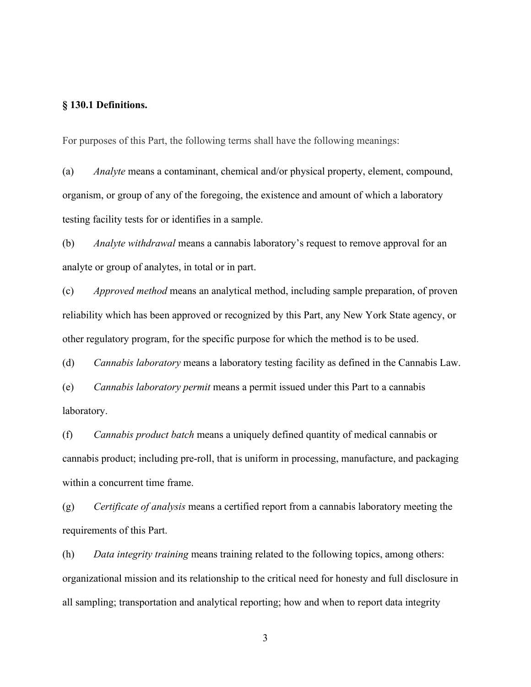# **§ 130.1 Definitions.**

For purposes of this Part, the following terms shall have the following meanings:

(a) *Analyte* means a contaminant, chemical and/or physical property, element, compound, organism, or group of any of the foregoing, the existence and amount of which a laboratory testing facility tests for or identifies in a sample.

(b) *Analyte withdrawal* means a cannabis laboratory's request to remove approval for an analyte or group of analytes, in total or in part.

(c) *Approved method* means an analytical method, including sample preparation, of proven reliability which has been approved or recognized by this Part, any New York State agency, or other regulatory program, for the specific purpose for which the method is to be used.

(d) *Cannabis laboratory* means a laboratory testing facility as defined in the Cannabis Law.

(e) *Cannabis laboratory permit* means a permit issued under this Part to a cannabis laboratory.

(f) *Cannabis product batch* means a uniquely defined quantity of medical cannabis or cannabis product; including pre-roll, that is uniform in processing, manufacture, and packaging within a concurrent time frame.

(g) *Certificate of analysis* means a certified report from a cannabis laboratory meeting the requirements of this Part.

(h) *Data integrity training* means training related to the following topics, among others: organizational mission and its relationship to the critical need for honesty and full disclosure in all sampling; transportation and analytical reporting; how and when to report data integrity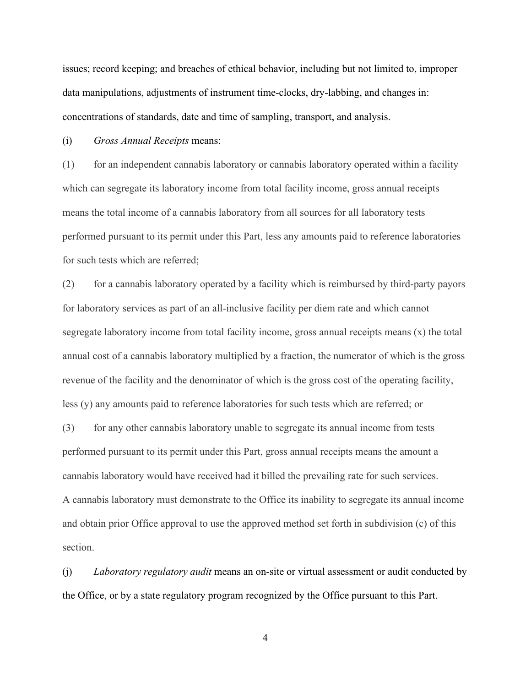issues; record keeping; and breaches of ethical behavior, including but not limited to, improper data manipulations, adjustments of instrument time-clocks, dry-labbing, and changes in: concentrations of standards, date and time of sampling, transport, and analysis.

(i) *Gross Annual Receipts* means:

(1) for an independent cannabis laboratory or cannabis laboratory operated within a facility which can segregate its laboratory income from total facility income, gross annual receipts means the total income of a cannabis laboratory from all sources for all laboratory tests performed pursuant to its permit under this Part, less any amounts paid to reference laboratories for such tests which are referred;

(2) for a cannabis laboratory operated by a facility which is reimbursed by third-party payors for laboratory services as part of an all-inclusive facility per diem rate and which cannot segregate laboratory income from total facility income, gross annual receipts means (x) the total annual cost of a cannabis laboratory multiplied by a fraction, the numerator of which is the gross revenue of the facility and the denominator of which is the gross cost of the operating facility, less (y) any amounts paid to reference laboratories for such tests which are referred; or

(3) for any other cannabis laboratory unable to segregate its annual income from tests performed pursuant to its permit under this Part, gross annual receipts means the amount a cannabis laboratory would have received had it billed the prevailing rate for such services. A cannabis laboratory must demonstrate to the Office its inability to segregate its annual income and obtain prior Office approval to use the approved method set forth in subdivision (c) of this section.

(j) *Laboratory regulatory audit* means an on-site or virtual assessment or audit conducted by the Office, or by a state regulatory program recognized by the Office pursuant to this Part.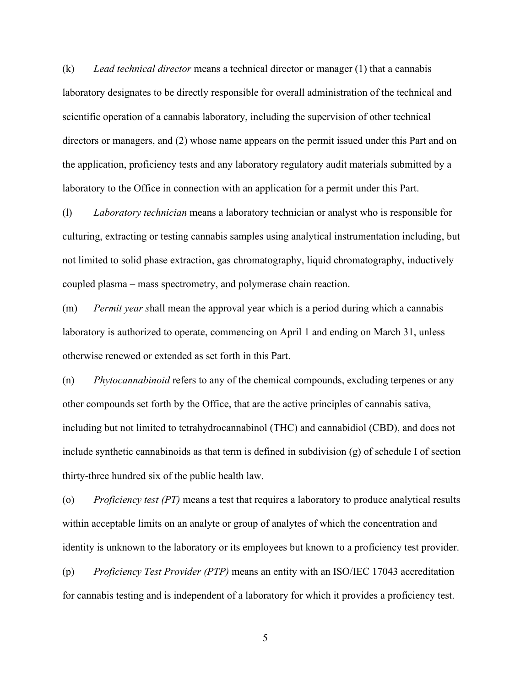(k) *Lead technical director* means a technical director or manager (1) that a cannabis laboratory designates to be directly responsible for overall administration of the technical and scientific operation of a cannabis laboratory, including the supervision of other technical directors or managers, and (2) whose name appears on the permit issued under this Part and on the application, proficiency tests and any laboratory regulatory audit materials submitted by a laboratory to the Office in connection with an application for a permit under this Part.

(l) *Laboratory technician* means a laboratory technician or analyst who is responsible for culturing, extracting or testing cannabis samples using analytical instrumentation including, but not limited to solid phase extraction, gas chromatography, liquid chromatography, inductively coupled plasma – mass spectrometry, and polymerase chain reaction.

(m) *Permit year s*hall mean the approval year which is a period during which a cannabis laboratory is authorized to operate, commencing on April 1 and ending on March 31, unless otherwise renewed or extended as set forth in this Part.

(n) *Phytocannabinoid* refers to any of the chemical compounds, excluding terpenes or any other compounds set forth by the Office, that are the active principles of cannabis sativa, including but not limited to tetrahydrocannabinol (THC) and cannabidiol (CBD), and does not include synthetic cannabinoids as that term is defined in subdivision (g) of schedule I of section thirty-three hundred six of the public health law.

(o) *Proficiency test (PT)* means a test that requires a laboratory to produce analytical results within acceptable limits on an analyte or group of analytes of which the concentration and identity is unknown to the laboratory or its employees but known to a proficiency test provider.

(p) *Proficiency Test Provider (PTP)* means an entity with an ISO/IEC 17043 accreditation for cannabis testing and is independent of a laboratory for which it provides a proficiency test.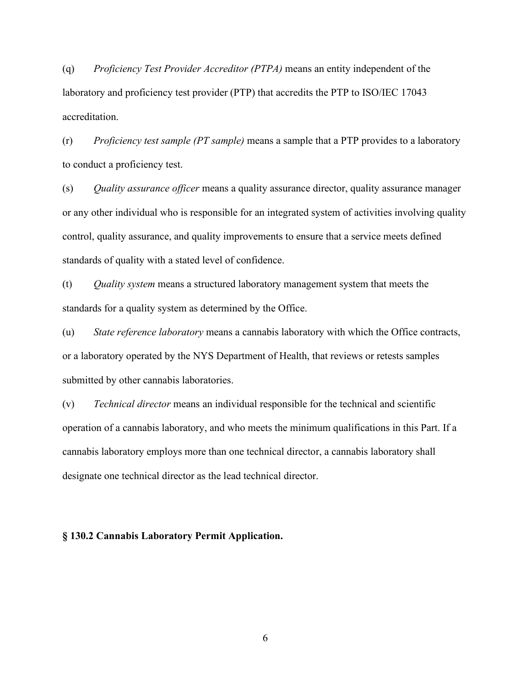(q) *Proficiency Test Provider Accreditor (PTPA)* means an entity independent of the laboratory and proficiency test provider (PTP) that accredits the PTP to ISO/IEC 17043 accreditation.

(r) *Proficiency test sample (PT sample)* means a sample that a PTP provides to a laboratory to conduct a proficiency test.

(s) *Quality assurance officer* means a quality assurance director, quality assurance manager or any other individual who is responsible for an integrated system of activities involving quality control, quality assurance, and quality improvements to ensure that a service meets defined standards of quality with a stated level of confidence.

(t) *Quality system* means a structured laboratory management system that meets the standards for a quality system as determined by the Office.

(u) *State reference laboratory* means a cannabis laboratory with which the Office contracts, or a laboratory operated by the NYS Department of Health, that reviews or retests samples submitted by other cannabis laboratories.

(v) *Technical director* means an individual responsible for the technical and scientific operation of a cannabis laboratory, and who meets the minimum qualifications in this Part. If a cannabis laboratory employs more than one technical director, a cannabis laboratory shall designate one technical director as the lead technical director.

## **§ 130.2 Cannabis Laboratory Permit Application.**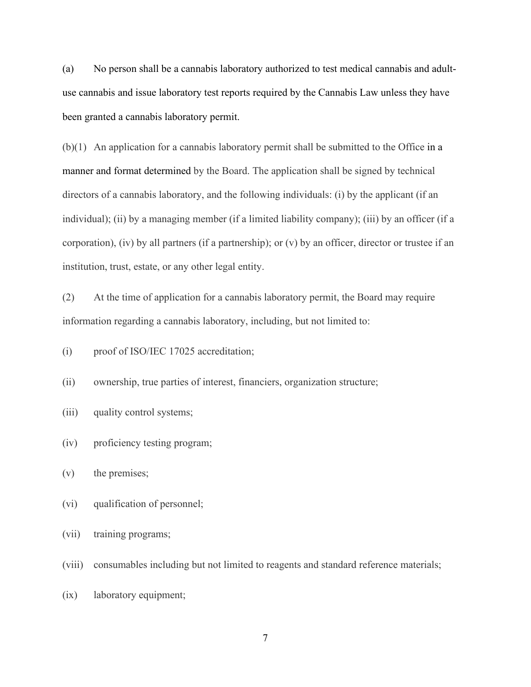(a) No person shall be a cannabis laboratory authorized to test medical cannabis and adultuse cannabis and issue laboratory test reports required by the Cannabis Law unless they have been granted a cannabis laboratory permit.

(b)(1) An application for a cannabis laboratory permit shall be submitted to the Office in a manner and format determined by the Board. The application shall be signed by technical directors of a cannabis laboratory, and the following individuals: (i) by the applicant (if an individual); (ii) by a managing member (if a limited liability company); (iii) by an officer (if a corporation), (iv) by all partners (if a partnership); or (v) by an officer, director or trustee if an institution, trust, estate, or any other legal entity.

(2) At the time of application for a cannabis laboratory permit, the Board may require information regarding a cannabis laboratory, including, but not limited to:

(i) proof of ISO/IEC 17025 accreditation;

(ii) ownership, true parties of interest, financiers, organization structure;

(iii) quality control systems;

(iv) proficiency testing program;

(v) the premises;

(vi) qualification of personnel;

(vii) training programs;

(viii) consumables including but not limited to reagents and standard reference materials;

(ix) laboratory equipment;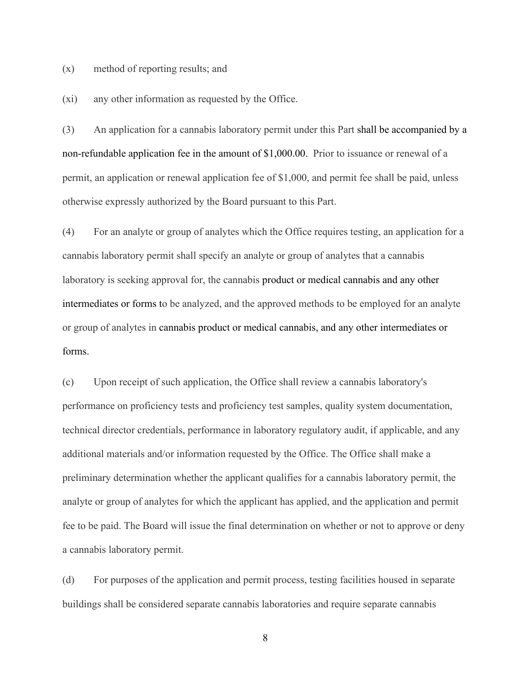(x) method of reporting results; and

(xi) any other information as requested by the Office.

(3) An application for a cannabis laboratory permit under this Part shall be accompanied by a non-refundable application fee in the amount of \$1,000.00. Prior to issuance or renewal of a permit, an application or renewal application fee of \$1,000, and permit fee shall be paid, unless otherwise expressly authorized by the Board pursuant to this Part.

(4) For an analyte or group of analytes which the Office requires testing, an application for a cannabis laboratory permit shall specify an analyte or group of analytes that a cannabis laboratory is seeking approval for, the cannabis product or medical cannabis and any other intermediates or forms to be analyzed, and the approved methods to be employed for an analyte or group of analytes in cannabis product or medical cannabis, and any other intermediates or forms.

(c) Upon receipt of such application, the Office shall review a cannabis laboratory's performance on proficiency tests and proficiency test samples, quality system documentation, technical director credentials, performance in laboratory regulatory audit, if applicable, and any additional materials and/or information requested by the Office. The Office shall make a preliminary determination whether the applicant qualifies for a cannabis laboratory permit, the analyte or group of analytes for which the applicant has applied, and the application and permit fee to be paid. The Board will issue the final determination on whether or not to approve or deny a cannabis laboratory permit.

(d) For purposes of the application and permit process, testing facilities housed in separate buildings shall be considered separate cannabis laboratories and require separate cannabis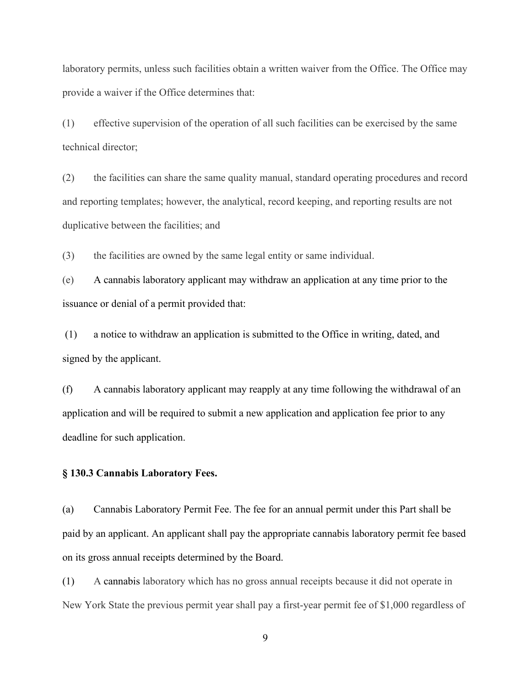laboratory permits, unless such facilities obtain a written waiver from the Office. The Office may provide a waiver if the Office determines that:

(1) effective supervision of the operation of all such facilities can be exercised by the same technical director;

(2) the facilities can share the same quality manual, standard operating procedures and record and reporting templates; however, the analytical, record keeping, and reporting results are not duplicative between the facilities; and

(3) the facilities are owned by the same legal entity or same individual.

(e) A cannabis laboratory applicant may withdraw an application at any time prior to the issuance or denial of a permit provided that:

(1) a notice to withdraw an application is submitted to the Office in writing, dated, and signed by the applicant.

(f) A cannabis laboratory applicant may reapply at any time following the withdrawal of an application and will be required to submit a new application and application fee prior to any deadline for such application.

#### **§ 130.3 Cannabis Laboratory Fees.**

(a) Cannabis Laboratory Permit Fee. The fee for an annual permit under this Part shall be paid by an applicant. An applicant shall pay the appropriate cannabis laboratory permit fee based on its gross annual receipts determined by the Board.

(1) A cannabis laboratory which has no gross annual receipts because it did not operate in New York State the previous permit year shall pay a first-year permit fee of \$1,000 regardless of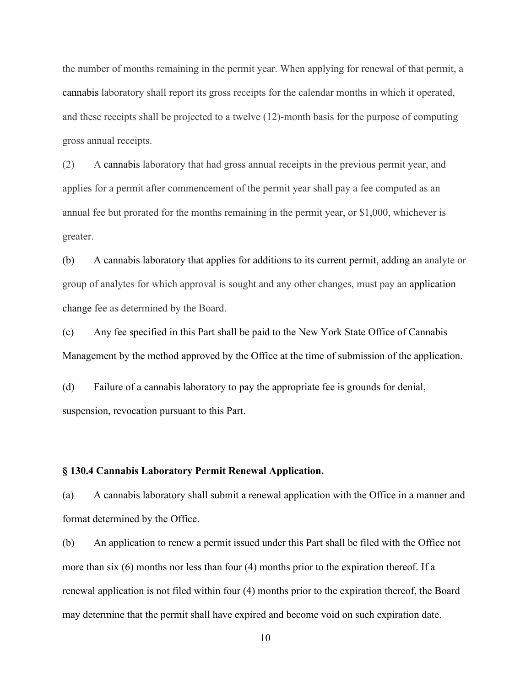the number of months remaining in the permit year. When applying for renewal of that permit, a cannabis laboratory shall report its gross receipts for the calendar months in which it operated, and these receipts shall be projected to a twelve (12)-month basis for the purpose of computing gross annual receipts.

(2) A cannabis laboratory that had gross annual receipts in the previous permit year, and applies for a permit after commencement of the permit year shall pay a fee computed as an annual fee but prorated for the months remaining in the permit year, or \$1,000, whichever is greater.

(b) A cannabis laboratory that applies for additions to its current permit, adding an analyte or group of analytes for which approval is sought and any other changes, must pay an application change fee as determined by the Board.

(c) Any fee specified in this Part shall be paid to the New York State Office of Cannabis Management by the method approved by the Office at the time of submission of the application.

(d) Failure of a cannabis laboratory to pay the appropriate fee is grounds for denial, suspension, revocation pursuant to this Part.

#### **§ 130.4 Cannabis Laboratory Permit Renewal Application.**

(a) A cannabis laboratory shall submit a renewal application with the Office in a manner and format determined by the Office.

(b) An application to renew a permit issued under this Part shall be filed with the Office not more than six (6) months nor less than four (4) months prior to the expiration thereof. If a renewal application is not filed within four (4) months prior to the expiration thereof, the Board may determine that the permit shall have expired and become void on such expiration date.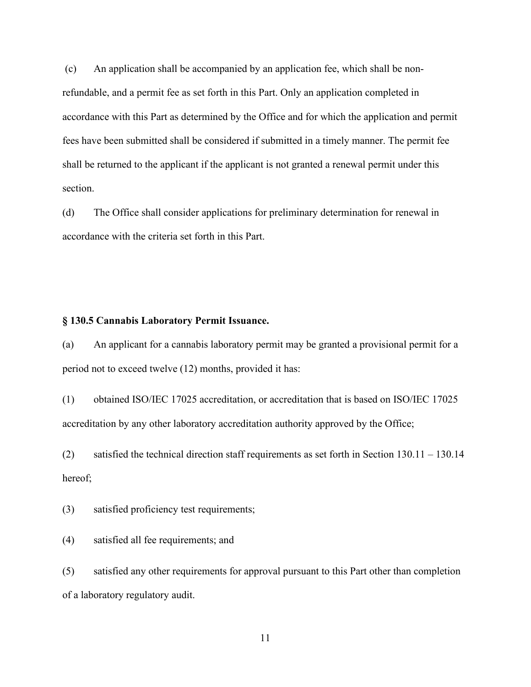(c) An application shall be accompanied by an application fee, which shall be nonrefundable, and a permit fee as set forth in this Part. Only an application completed in accordance with this Part as determined by the Office and for which the application and permit fees have been submitted shall be considered if submitted in a timely manner. The permit fee shall be returned to the applicant if the applicant is not granted a renewal permit under this section.

(d) The Office shall consider applications for preliminary determination for renewal in accordance with the criteria set forth in this Part.

## **§ 130.5 Cannabis Laboratory Permit Issuance.**

(a) An applicant for a cannabis laboratory permit may be granted a provisional permit for a period not to exceed twelve (12) months, provided it has:

(1) obtained ISO/IEC 17025 accreditation, or accreditation that is based on ISO/IEC 17025 accreditation by any other laboratory accreditation authority approved by the Office;

(2) satisfied the technical direction staff requirements as set forth in Section 130.11 – 130.14 hereof;

(3) satisfied proficiency test requirements;

(4) satisfied all fee requirements; and

(5) satisfied any other requirements for approval pursuant to this Part other than completion of a laboratory regulatory audit.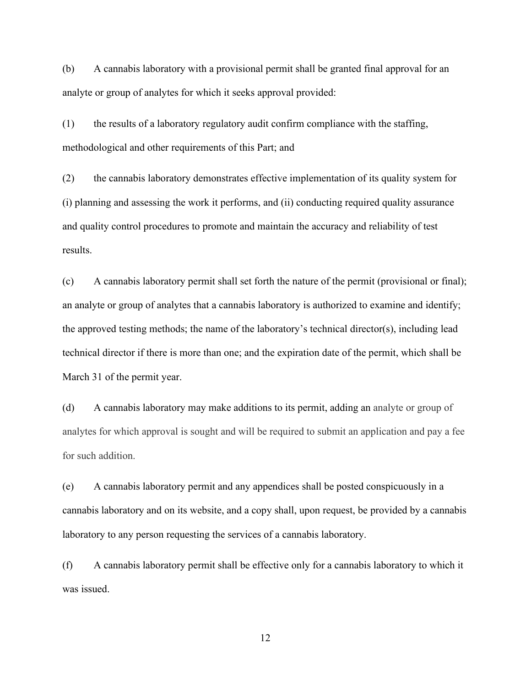(b) A cannabis laboratory with a provisional permit shall be granted final approval for an analyte or group of analytes for which it seeks approval provided:

(1) the results of a laboratory regulatory audit confirm compliance with the staffing, methodological and other requirements of this Part; and

(2) the cannabis laboratory demonstrates effective implementation of its quality system for (i) planning and assessing the work it performs, and (ii) conducting required quality assurance and quality control procedures to promote and maintain the accuracy and reliability of test results.

(c) A cannabis laboratory permit shall set forth the nature of the permit (provisional or final); an analyte or group of analytes that a cannabis laboratory is authorized to examine and identify; the approved testing methods; the name of the laboratory's technical director(s), including lead technical director if there is more than one; and the expiration date of the permit, which shall be March 31 of the permit year.

(d) A cannabis laboratory may make additions to its permit, adding an analyte or group of analytes for which approval is sought and will be required to submit an application and pay a fee for such addition.

(e) A cannabis laboratory permit and any appendices shall be posted conspicuously in a cannabis laboratory and on its website, and a copy shall, upon request, be provided by a cannabis laboratory to any person requesting the services of a cannabis laboratory.

(f) A cannabis laboratory permit shall be effective only for a cannabis laboratory to which it was issued.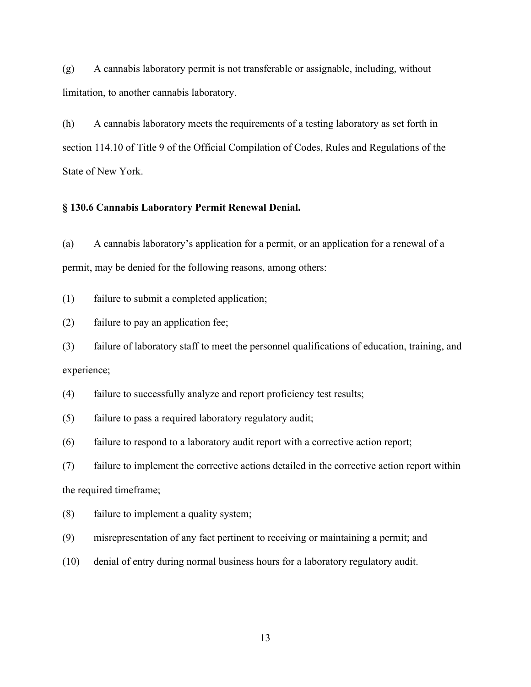(g) A cannabis laboratory permit is not transferable or assignable, including, without limitation, to another cannabis laboratory.

(h) A cannabis laboratory meets the requirements of a testing laboratory as set forth in section 114.10 of Title 9 of the Official Compilation of Codes, Rules and Regulations of the State of New York.

# **§ 130.6 Cannabis Laboratory Permit Renewal Denial.**

(a) A cannabis laboratory's application for a permit, or an application for a renewal of a permit, may be denied for the following reasons, among others:

(1) failure to submit a completed application;

(2) failure to pay an application fee;

(3) failure of laboratory staff to meet the personnel qualifications of education, training, and experience;

(4) failure to successfully analyze and report proficiency test results;

(5) failure to pass a required laboratory regulatory audit;

(6) failure to respond to a laboratory audit report with a corrective action report;

(7) failure to implement the corrective actions detailed in the corrective action report within the required timeframe;

(8) failure to implement a quality system;

(9) misrepresentation of any fact pertinent to receiving or maintaining a permit; and

(10) denial of entry during normal business hours for a laboratory regulatory audit.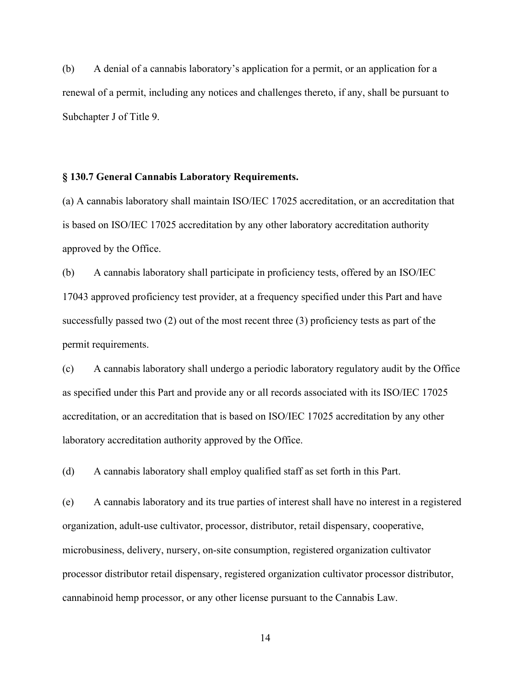(b) A denial of a cannabis laboratory's application for a permit, or an application for a renewal of a permit, including any notices and challenges thereto, if any, shall be pursuant to Subchapter J of Title 9.

## **§ 130.7 General Cannabis Laboratory Requirements.**

(a) A cannabis laboratory shall maintain ISO/IEC 17025 accreditation, or an accreditation that is based on ISO/IEC 17025 accreditation by any other laboratory accreditation authority approved by the Office.

(b) A cannabis laboratory shall participate in proficiency tests, offered by an ISO/IEC 17043 approved proficiency test provider, at a frequency specified under this Part and have successfully passed two (2) out of the most recent three (3) proficiency tests as part of the permit requirements.

(c) A cannabis laboratory shall undergo a periodic laboratory regulatory audit by the Office as specified under this Part and provide any or all records associated with its ISO/IEC 17025 accreditation, or an accreditation that is based on ISO/IEC 17025 accreditation by any other laboratory accreditation authority approved by the Office.

(d) A cannabis laboratory shall employ qualified staff as set forth in this Part.

(e) A cannabis laboratory and its true parties of interest shall have no interest in a registered organization, adult-use cultivator, processor, distributor, retail dispensary, cooperative, microbusiness, delivery, nursery, on-site consumption, registered organization cultivator processor distributor retail dispensary, registered organization cultivator processor distributor, cannabinoid hemp processor, or any other license pursuant to the Cannabis Law.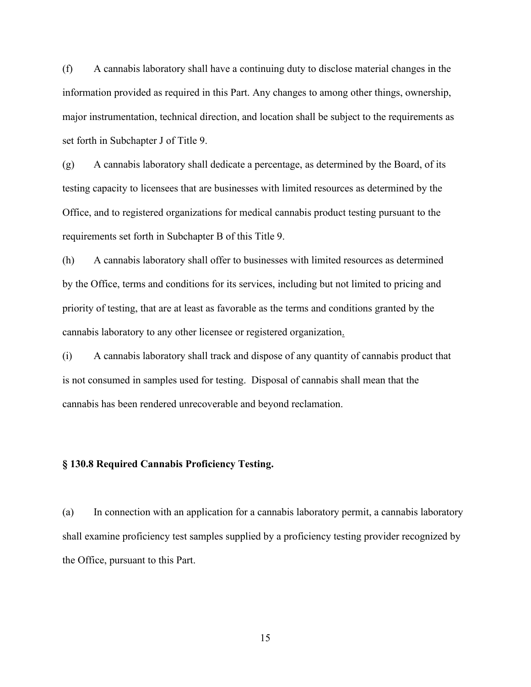(f) A cannabis laboratory shall have a continuing duty to disclose material changes in the information provided as required in this Part. Any changes to among other things, ownership, major instrumentation, technical direction, and location shall be subject to the requirements as set forth in Subchapter J of Title 9.

(g) A cannabis laboratory shall dedicate a percentage, as determined by the Board, of its testing capacity to licensees that are businesses with limited resources as determined by the Office, and to registered organizations for medical cannabis product testing pursuant to the requirements set forth in Subchapter B of this Title 9.

(h) A cannabis laboratory shall offer to businesses with limited resources as determined by the Office, terms and conditions for its services, including but not limited to pricing and priority of testing, that are at least as favorable as the terms and conditions granted by the cannabis laboratory to any other licensee or registered organization.

(i) A cannabis laboratory shall track and dispose of any quantity of cannabis product that is not consumed in samples used for testing. Disposal of cannabis shall mean that the cannabis has been rendered unrecoverable and beyond reclamation.

# **§ 130.8 Required Cannabis Proficiency Testing.**

(a) In connection with an application for a cannabis laboratory permit, a cannabis laboratory shall examine proficiency test samples supplied by a proficiency testing provider recognized by the Office, pursuant to this Part.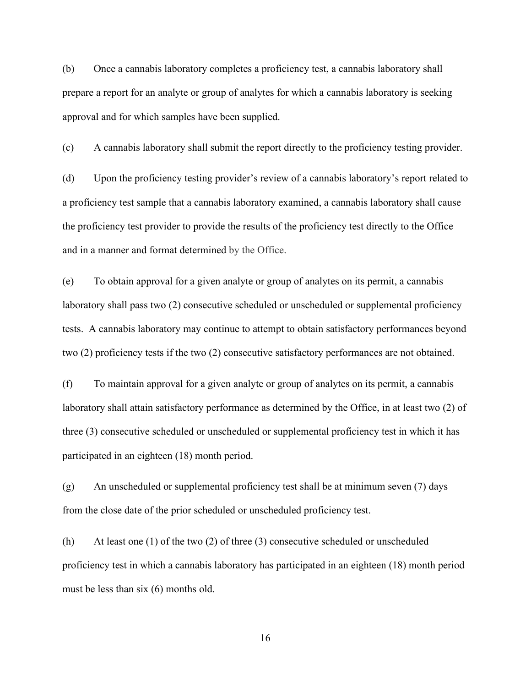(b) Once a cannabis laboratory completes a proficiency test, a cannabis laboratory shall prepare a report for an analyte or group of analytes for which a cannabis laboratory is seeking approval and for which samples have been supplied.

(c) A cannabis laboratory shall submit the report directly to the proficiency testing provider.

(d) Upon the proficiency testing provider's review of a cannabis laboratory's report related to a proficiency test sample that a cannabis laboratory examined, a cannabis laboratory shall cause the proficiency test provider to provide the results of the proficiency test directly to the Office and in a manner and format determined by the Office.

(e) To obtain approval for a given analyte or group of analytes on its permit, a cannabis laboratory shall pass two (2) consecutive scheduled or unscheduled or supplemental proficiency tests. A cannabis laboratory may continue to attempt to obtain satisfactory performances beyond two (2) proficiency tests if the two (2) consecutive satisfactory performances are not obtained.

(f) To maintain approval for a given analyte or group of analytes on its permit, a cannabis laboratory shall attain satisfactory performance as determined by the Office, in at least two (2) of three (3) consecutive scheduled or unscheduled or supplemental proficiency test in which it has participated in an eighteen (18) month period.

(g) An unscheduled or supplemental proficiency test shall be at minimum seven (7) days from the close date of the prior scheduled or unscheduled proficiency test.

(h) At least one (1) of the two (2) of three (3) consecutive scheduled or unscheduled proficiency test in which a cannabis laboratory has participated in an eighteen (18) month period must be less than six (6) months old.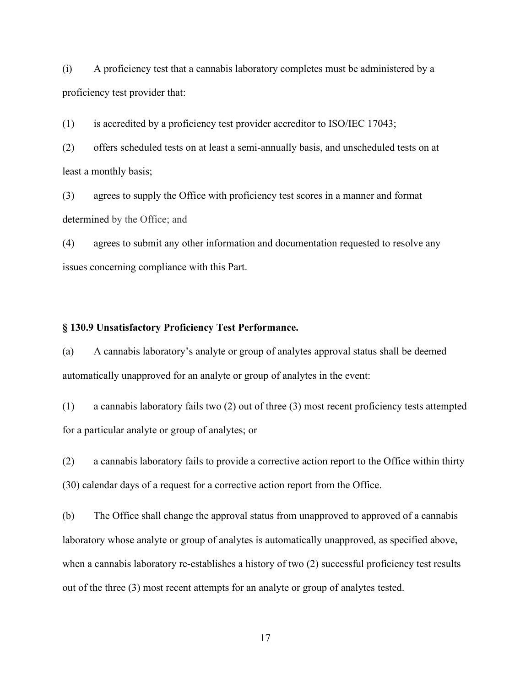(i) A proficiency test that a cannabis laboratory completes must be administered by a proficiency test provider that:

(1) is accredited by a proficiency test provider accreditor to ISO/IEC 17043;

(2) offers scheduled tests on at least a semi-annually basis, and unscheduled tests on at least a monthly basis;

(3) agrees to supply the Office with proficiency test scores in a manner and format determined by the Office; and

(4) agrees to submit any other information and documentation requested to resolve any issues concerning compliance with this Part.

# **§ 130.9 Unsatisfactory Proficiency Test Performance.**

(a) A cannabis laboratory's analyte or group of analytes approval status shall be deemed automatically unapproved for an analyte or group of analytes in the event:

(1) a cannabis laboratory fails two (2) out of three (3) most recent proficiency tests attempted for a particular analyte or group of analytes; or

(2) a cannabis laboratory fails to provide a corrective action report to the Office within thirty (30) calendar days of a request for a corrective action report from the Office.

(b) The Office shall change the approval status from unapproved to approved of a cannabis laboratory whose analyte or group of analytes is automatically unapproved, as specified above, when a cannabis laboratory re-establishes a history of two (2) successful proficiency test results out of the three (3) most recent attempts for an analyte or group of analytes tested.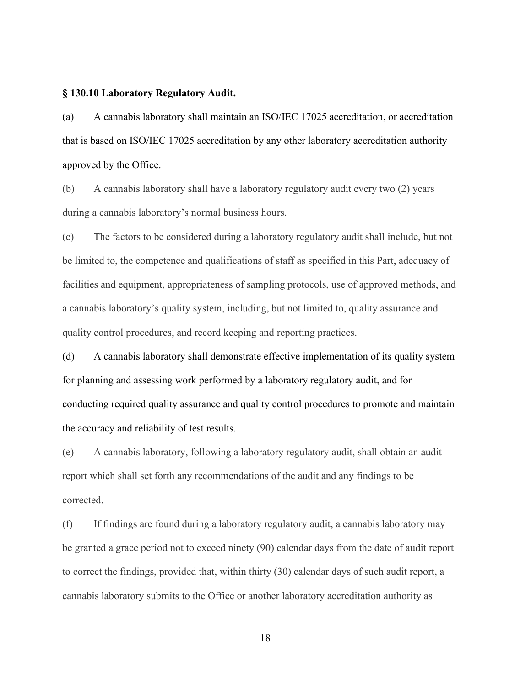## **§ 130.10 Laboratory Regulatory Audit.**

(a) A cannabis laboratory shall maintain an ISO/IEC 17025 accreditation, or accreditation that is based on ISO/IEC 17025 accreditation by any other laboratory accreditation authority approved by the Office.

(b) A cannabis laboratory shall have a laboratory regulatory audit every two (2) years during a cannabis laboratory's normal business hours.

(c) The factors to be considered during a laboratory regulatory audit shall include, but not be limited to, the competence and qualifications of staff as specified in this Part, adequacy of facilities and equipment, appropriateness of sampling protocols, use of approved methods, and a cannabis laboratory's quality system, including, but not limited to, quality assurance and quality control procedures, and record keeping and reporting practices.

(d) A cannabis laboratory shall demonstrate effective implementation of its quality system for planning and assessing work performed by a laboratory regulatory audit, and for conducting required quality assurance and quality control procedures to promote and maintain the accuracy and reliability of test results.

(e) A cannabis laboratory, following a laboratory regulatory audit, shall obtain an audit report which shall set forth any recommendations of the audit and any findings to be corrected.

(f) If findings are found during a laboratory regulatory audit, a cannabis laboratory may be granted a grace period not to exceed ninety (90) calendar days from the date of audit report to correct the findings, provided that, within thirty (30) calendar days of such audit report, a cannabis laboratory submits to the Office or another laboratory accreditation authority as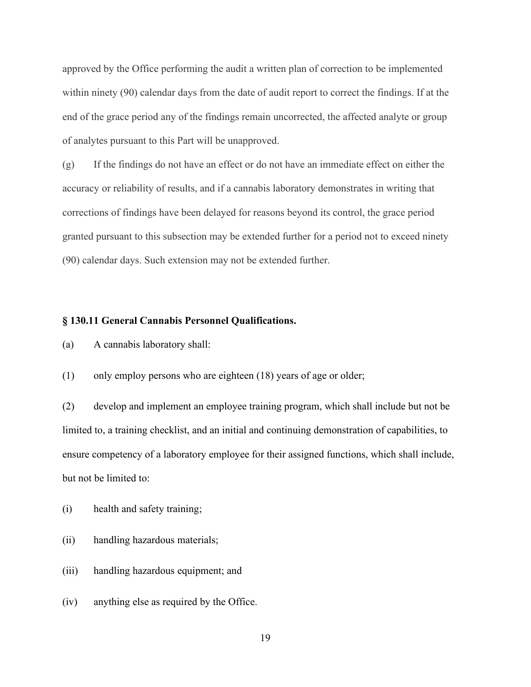approved by the Office performing the audit a written plan of correction to be implemented within ninety (90) calendar days from the date of audit report to correct the findings. If at the end of the grace period any of the findings remain uncorrected, the affected analyte or group of analytes pursuant to this Part will be unapproved.

(g) If the findings do not have an effect or do not have an immediate effect on either the accuracy or reliability of results, and if a cannabis laboratory demonstrates in writing that corrections of findings have been delayed for reasons beyond its control, the grace period granted pursuant to this subsection may be extended further for a period not to exceed ninety (90) calendar days. Such extension may not be extended further.

# **§ 130.11 General Cannabis Personnel Qualifications.**

- (a) A cannabis laboratory shall:
- (1) only employ persons who are eighteen (18) years of age or older;

(2) develop and implement an employee training program, which shall include but not be limited to, a training checklist, and an initial and continuing demonstration of capabilities, to ensure competency of a laboratory employee for their assigned functions, which shall include, but not be limited to:

- (i) health and safety training;
- (ii) handling hazardous materials;
- (iii) handling hazardous equipment; and
- (iv) anything else as required by the Office.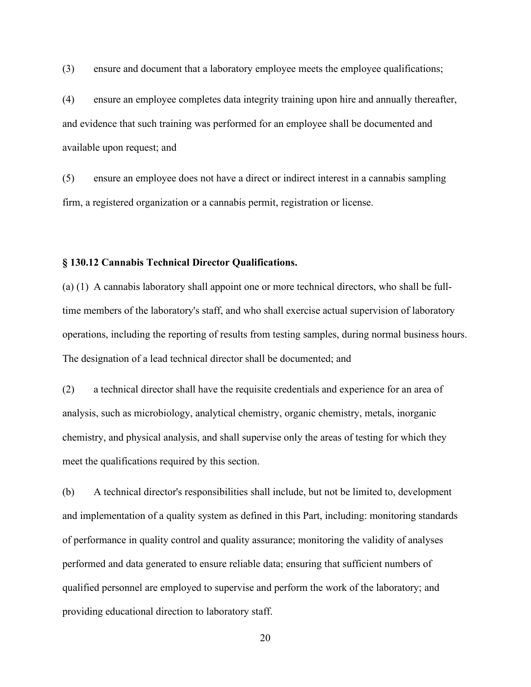(3) ensure and document that a laboratory employee meets the employee qualifications;

(4) ensure an employee completes data integrity training upon hire and annually thereafter, and evidence that such training was performed for an employee shall be documented and available upon request; and

(5) ensure an employee does not have a direct or indirect interest in a cannabis sampling firm, a registered organization or a cannabis permit, registration or license.

# **§ 130.12 Cannabis Technical Director Qualifications.**

(a) (1) A cannabis laboratory shall appoint one or more technical directors, who shall be fulltime members of the laboratory's staff, and who shall exercise actual supervision of laboratory operations, including the reporting of results from testing samples, during normal business hours. The designation of a lead technical director shall be documented; and

(2) a technical director shall have the requisite credentials and experience for an area of analysis, such as microbiology, analytical chemistry, organic chemistry, metals, inorganic chemistry, and physical analysis, and shall supervise only the areas of testing for which they meet the qualifications required by this section.

(b) A technical director's responsibilities shall include, but not be limited to, development and implementation of a quality system as defined in this Part, including: monitoring standards of performance in quality control and quality assurance; monitoring the validity of analyses performed and data generated to ensure reliable data; ensuring that sufficient numbers of qualified personnel are employed to supervise and perform the work of the laboratory; and providing educational direction to laboratory staff.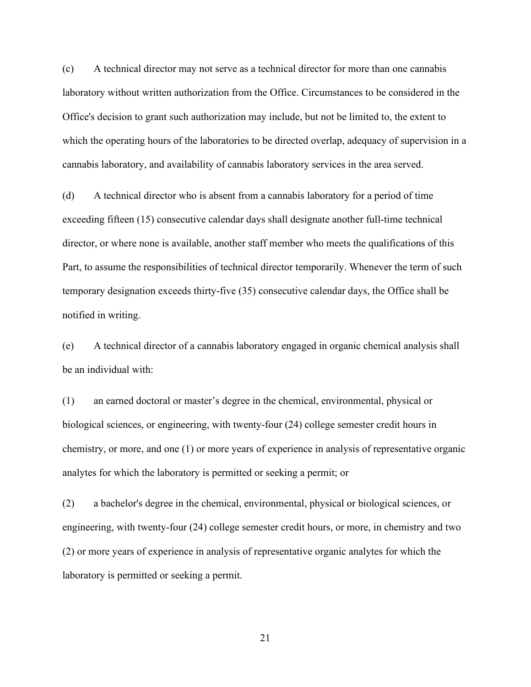(c) A technical director may not serve as a technical director for more than one cannabis laboratory without written authorization from the Office. Circumstances to be considered in the Office's decision to grant such authorization may include, but not be limited to, the extent to which the operating hours of the laboratories to be directed overlap, adequacy of supervision in a cannabis laboratory, and availability of cannabis laboratory services in the area served.

(d) A technical director who is absent from a cannabis laboratory for a period of time exceeding fifteen (15) consecutive calendar days shall designate another full-time technical director, or where none is available, another staff member who meets the qualifications of this Part, to assume the responsibilities of technical director temporarily. Whenever the term of such temporary designation exceeds thirty-five (35) consecutive calendar days, the Office shall be notified in writing.

(e) A technical director of a cannabis laboratory engaged in organic chemical analysis shall be an individual with:

(1) an earned doctoral or master's degree in the chemical, environmental, physical or biological sciences, or engineering, with twenty-four (24) college semester credit hours in chemistry, or more, and one (1) or more years of experience in analysis of representative organic analytes for which the laboratory is permitted or seeking a permit; or

(2) a bachelor's degree in the chemical, environmental, physical or biological sciences, or engineering, with twenty-four (24) college semester credit hours, or more, in chemistry and two (2) or more years of experience in analysis of representative organic analytes for which the laboratory is permitted or seeking a permit.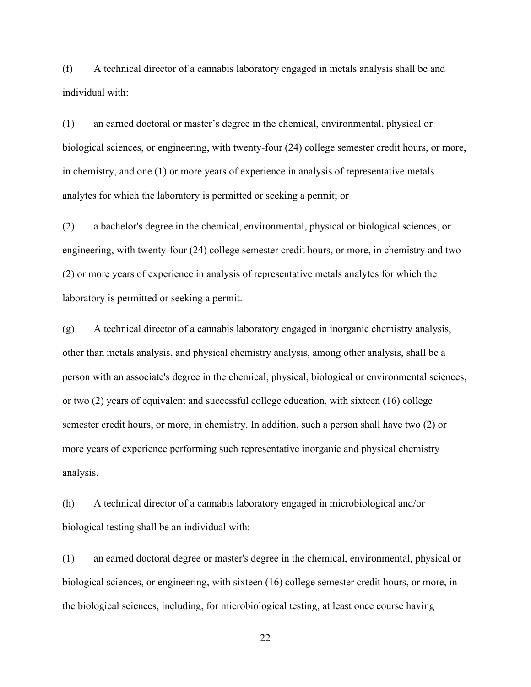(f) A technical director of a cannabis laboratory engaged in metals analysis shall be and individual with:

(1) an earned doctoral or master's degree in the chemical, environmental, physical or biological sciences, or engineering, with twenty-four (24) college semester credit hours, or more, in chemistry, and one (1) or more years of experience in analysis of representative metals analytes for which the laboratory is permitted or seeking a permit; or

(2) a bachelor's degree in the chemical, environmental, physical or biological sciences, or engineering, with twenty-four (24) college semester credit hours, or more, in chemistry and two (2) or more years of experience in analysis of representative metals analytes for which the laboratory is permitted or seeking a permit.

(g) A technical director of a cannabis laboratory engaged in inorganic chemistry analysis, other than metals analysis, and physical chemistry analysis, among other analysis, shall be a person with an associate's degree in the chemical, physical, biological or environmental sciences, or two (2) years of equivalent and successful college education, with sixteen (16) college semester credit hours, or more, in chemistry. In addition, such a person shall have two (2) or more years of experience performing such representative inorganic and physical chemistry analysis.

(h) A technical director of a cannabis laboratory engaged in microbiological and/or biological testing shall be an individual with:

(1) an earned doctoral degree or master's degree in the chemical, environmental, physical or biological sciences, or engineering, with sixteen (16) college semester credit hours, or more, in the biological sciences, including, for microbiological testing, at least once course having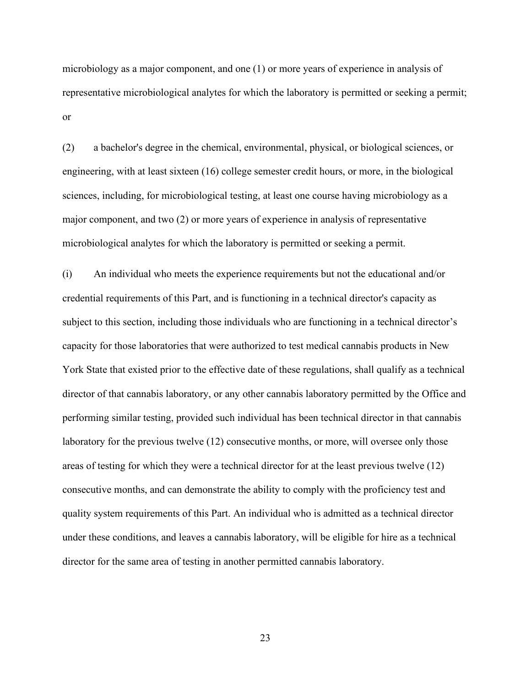microbiology as a major component, and one (1) or more years of experience in analysis of representative microbiological analytes for which the laboratory is permitted or seeking a permit; or

(2) a bachelor's degree in the chemical, environmental, physical, or biological sciences, or engineering, with at least sixteen (16) college semester credit hours, or more, in the biological sciences, including, for microbiological testing, at least one course having microbiology as a major component, and two (2) or more years of experience in analysis of representative microbiological analytes for which the laboratory is permitted or seeking a permit.

(i) An individual who meets the experience requirements but not the educational and/or credential requirements of this Part, and is functioning in a technical director's capacity as subject to this section, including those individuals who are functioning in a technical director's capacity for those laboratories that were authorized to test medical cannabis products in New York State that existed prior to the effective date of these regulations, shall qualify as a technical director of that cannabis laboratory, or any other cannabis laboratory permitted by the Office and performing similar testing, provided such individual has been technical director in that cannabis laboratory for the previous twelve (12) consecutive months, or more, will oversee only those areas of testing for which they were a technical director for at the least previous twelve (12) consecutive months, and can demonstrate the ability to comply with the proficiency test and quality system requirements of this Part. An individual who is admitted as a technical director under these conditions, and leaves a cannabis laboratory, will be eligible for hire as a technical director for the same area of testing in another permitted cannabis laboratory.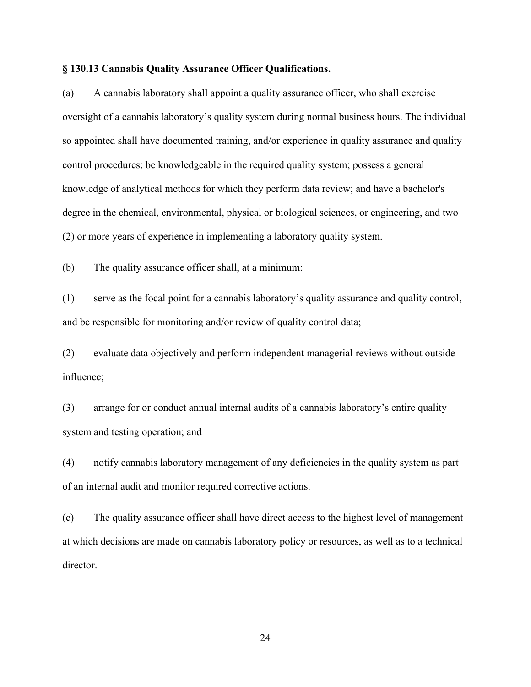#### **§ 130.13 Cannabis Quality Assurance Officer Qualifications.**

(a) A cannabis laboratory shall appoint a quality assurance officer, who shall exercise oversight of a cannabis laboratory's quality system during normal business hours. The individual so appointed shall have documented training, and/or experience in quality assurance and quality control procedures; be knowledgeable in the required quality system; possess a general knowledge of analytical methods for which they perform data review; and have a bachelor's degree in the chemical, environmental, physical or biological sciences, or engineering, and two (2) or more years of experience in implementing a laboratory quality system.

(b) The quality assurance officer shall, at a minimum:

(1) serve as the focal point for a cannabis laboratory's quality assurance and quality control, and be responsible for monitoring and/or review of quality control data;

(2) evaluate data objectively and perform independent managerial reviews without outside influence;

(3) arrange for or conduct annual internal audits of a cannabis laboratory's entire quality system and testing operation; and

(4) notify cannabis laboratory management of any deficiencies in the quality system as part of an internal audit and monitor required corrective actions.

(c) The quality assurance officer shall have direct access to the highest level of management at which decisions are made on cannabis laboratory policy or resources, as well as to a technical director.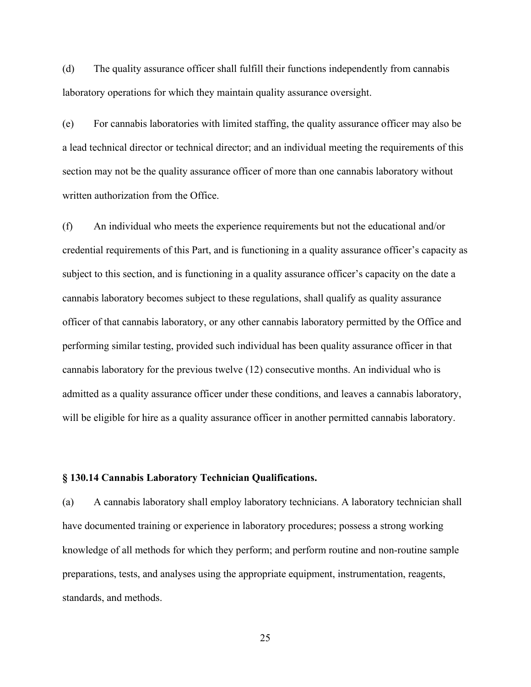(d) The quality assurance officer shall fulfill their functions independently from cannabis laboratory operations for which they maintain quality assurance oversight.

(e) For cannabis laboratories with limited staffing, the quality assurance officer may also be a lead technical director or technical director; and an individual meeting the requirements of this section may not be the quality assurance officer of more than one cannabis laboratory without written authorization from the Office.

(f) An individual who meets the experience requirements but not the educational and/or credential requirements of this Part, and is functioning in a quality assurance officer's capacity as subject to this section, and is functioning in a quality assurance officer's capacity on the date a cannabis laboratory becomes subject to these regulations, shall qualify as quality assurance officer of that cannabis laboratory, or any other cannabis laboratory permitted by the Office and performing similar testing, provided such individual has been quality assurance officer in that cannabis laboratory for the previous twelve (12) consecutive months. An individual who is admitted as a quality assurance officer under these conditions, and leaves a cannabis laboratory, will be eligible for hire as a quality assurance officer in another permitted cannabis laboratory.

#### **§ 130.14 Cannabis Laboratory Technician Qualifications.**

(a) A cannabis laboratory shall employ laboratory technicians. A laboratory technician shall have documented training or experience in laboratory procedures; possess a strong working knowledge of all methods for which they perform; and perform routine and non-routine sample preparations, tests, and analyses using the appropriate equipment, instrumentation, reagents, standards, and methods.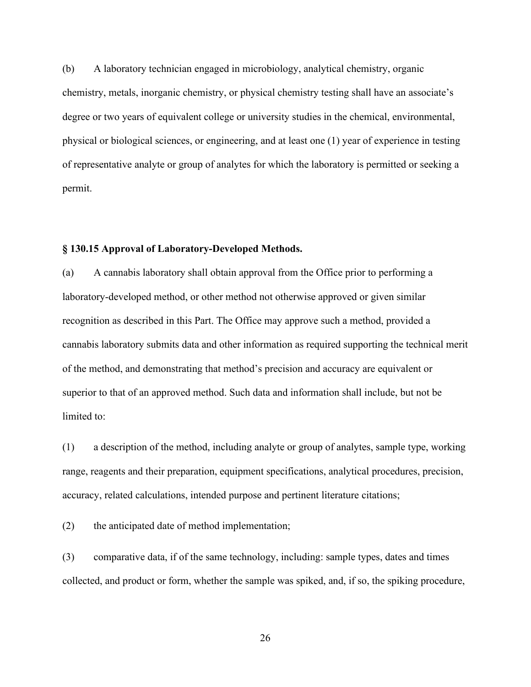(b) A laboratory technician engaged in microbiology, analytical chemistry, organic chemistry, metals, inorganic chemistry, or physical chemistry testing shall have an associate's degree or two years of equivalent college or university studies in the chemical, environmental, physical or biological sciences, or engineering, and at least one (1) year of experience in testing of representative analyte or group of analytes for which the laboratory is permitted or seeking a permit.

# **§ 130.15 Approval of Laboratory-Developed Methods.**

(a) A cannabis laboratory shall obtain approval from the Office prior to performing a laboratory-developed method, or other method not otherwise approved or given similar recognition as described in this Part. The Office may approve such a method, provided a cannabis laboratory submits data and other information as required supporting the technical merit of the method, and demonstrating that method's precision and accuracy are equivalent or superior to that of an approved method. Such data and information shall include, but not be limited to:

(1) a description of the method, including analyte or group of analytes, sample type, working range, reagents and their preparation, equipment specifications, analytical procedures, precision, accuracy, related calculations, intended purpose and pertinent literature citations;

(2) the anticipated date of method implementation;

(3) comparative data, if of the same technology, including: sample types, dates and times collected, and product or form, whether the sample was spiked, and, if so, the spiking procedure,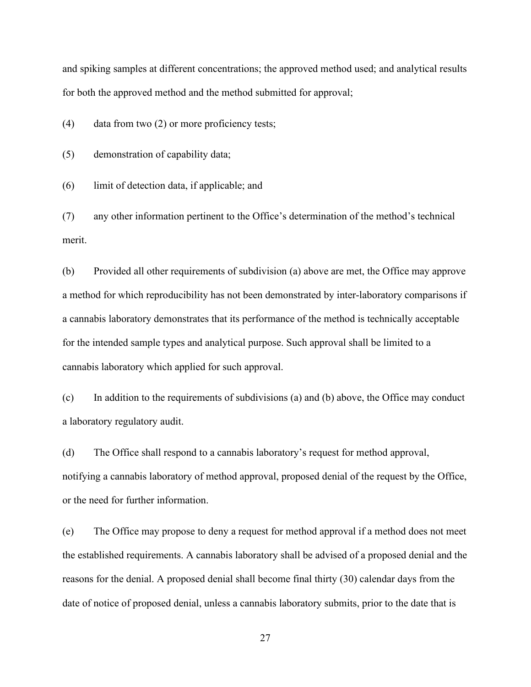and spiking samples at different concentrations; the approved method used; and analytical results for both the approved method and the method submitted for approval;

(4) data from two (2) or more proficiency tests;

(5) demonstration of capability data;

(6) limit of detection data, if applicable; and

(7) any other information pertinent to the Office's determination of the method's technical merit.

(b) Provided all other requirements of subdivision (a) above are met, the Office may approve a method for which reproducibility has not been demonstrated by inter-laboratory comparisons if a cannabis laboratory demonstrates that its performance of the method is technically acceptable for the intended sample types and analytical purpose. Such approval shall be limited to a cannabis laboratory which applied for such approval.

(c) In addition to the requirements of subdivisions (a) and (b) above, the Office may conduct a laboratory regulatory audit.

(d) The Office shall respond to a cannabis laboratory's request for method approval, notifying a cannabis laboratory of method approval, proposed denial of the request by the Office, or the need for further information.

(e) The Office may propose to deny a request for method approval if a method does not meet the established requirements. A cannabis laboratory shall be advised of a proposed denial and the reasons for the denial. A proposed denial shall become final thirty (30) calendar days from the date of notice of proposed denial, unless a cannabis laboratory submits, prior to the date that is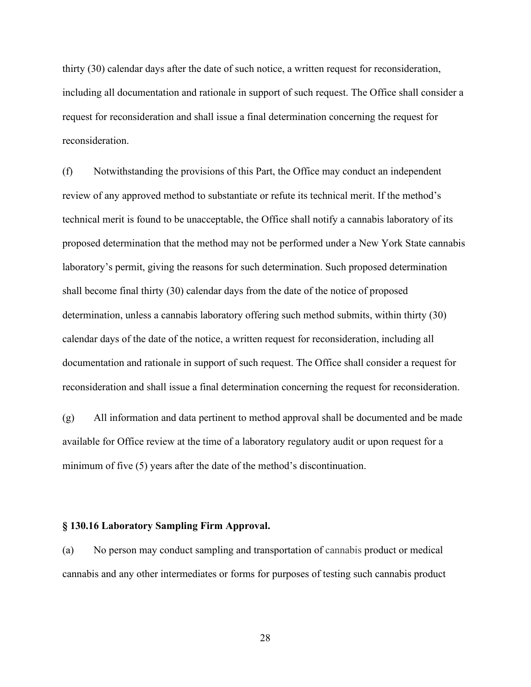thirty (30) calendar days after the date of such notice, a written request for reconsideration, including all documentation and rationale in support of such request. The Office shall consider a request for reconsideration and shall issue a final determination concerning the request for reconsideration.

(f) Notwithstanding the provisions of this Part, the Office may conduct an independent review of any approved method to substantiate or refute its technical merit. If the method's technical merit is found to be unacceptable, the Office shall notify a cannabis laboratory of its proposed determination that the method may not be performed under a New York State cannabis laboratory's permit, giving the reasons for such determination. Such proposed determination shall become final thirty (30) calendar days from the date of the notice of proposed determination, unless a cannabis laboratory offering such method submits, within thirty (30) calendar days of the date of the notice, a written request for reconsideration, including all documentation and rationale in support of such request. The Office shall consider a request for reconsideration and shall issue a final determination concerning the request for reconsideration.

(g) All information and data pertinent to method approval shall be documented and be made available for Office review at the time of a laboratory regulatory audit or upon request for a minimum of five (5) years after the date of the method's discontinuation.

## **§ 130.16 Laboratory Sampling Firm Approval.**

(a) No person may conduct sampling and transportation of cannabis product or medical cannabis and any other intermediates or forms for purposes of testing such cannabis product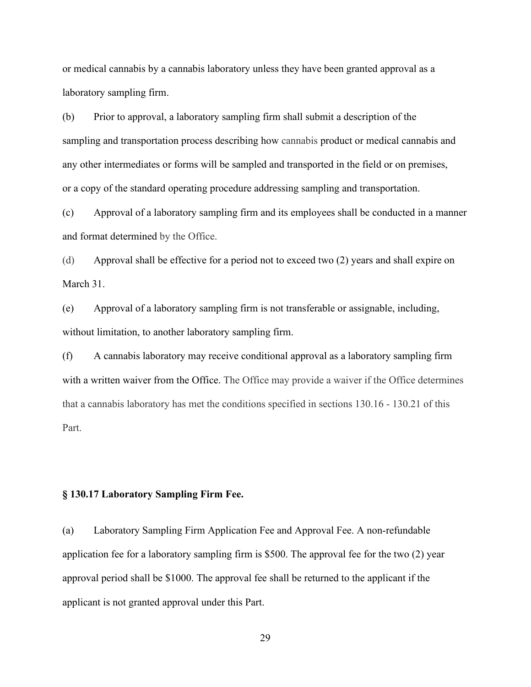or medical cannabis by a cannabis laboratory unless they have been granted approval as a laboratory sampling firm.

(b) Prior to approval, a laboratory sampling firm shall submit a description of the sampling and transportation process describing how cannabis product or medical cannabis and any other intermediates or forms will be sampled and transported in the field or on premises, or a copy of the standard operating procedure addressing sampling and transportation.

(c) Approval of a laboratory sampling firm and its employees shall be conducted in a manner and format determined by the Office.

(d) Approval shall be effective for a period not to exceed two (2) years and shall expire on March 31.

(e) Approval of a laboratory sampling firm is not transferable or assignable, including, without limitation, to another laboratory sampling firm.

(f) A cannabis laboratory may receive conditional approval as a laboratory sampling firm with a written waiver from the Office. The Office may provide a waiver if the Office determines that a cannabis laboratory has met the conditions specified in sections 130.16 - 130.21 of this Part.

#### **§ 130.17 Laboratory Sampling Firm Fee.**

(a) Laboratory Sampling Firm Application Fee and Approval Fee. A non-refundable application fee for a laboratory sampling firm is \$500. The approval fee for the two (2) year approval period shall be \$1000. The approval fee shall be returned to the applicant if the applicant is not granted approval under this Part.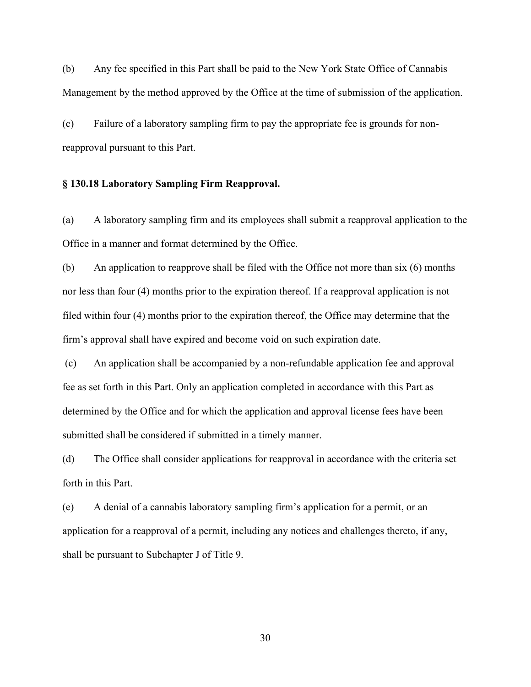(b) Any fee specified in this Part shall be paid to the New York State Office of Cannabis Management by the method approved by the Office at the time of submission of the application.

(c) Failure of a laboratory sampling firm to pay the appropriate fee is grounds for nonreapproval pursuant to this Part.

## **§ 130.18 Laboratory Sampling Firm Reapproval.**

(a) A laboratory sampling firm and its employees shall submit a reapproval application to the Office in a manner and format determined by the Office.

(b) An application to reapprove shall be filed with the Office not more than six (6) months nor less than four (4) months prior to the expiration thereof. If a reapproval application is not filed within four (4) months prior to the expiration thereof, the Office may determine that the firm's approval shall have expired and become void on such expiration date.

(c) An application shall be accompanied by a non-refundable application fee and approval fee as set forth in this Part. Only an application completed in accordance with this Part as determined by the Office and for which the application and approval license fees have been submitted shall be considered if submitted in a timely manner.

(d) The Office shall consider applications for reapproval in accordance with the criteria set forth in this Part.

(e) A denial of a cannabis laboratory sampling firm's application for a permit, or an application for a reapproval of a permit, including any notices and challenges thereto, if any, shall be pursuant to Subchapter J of Title 9.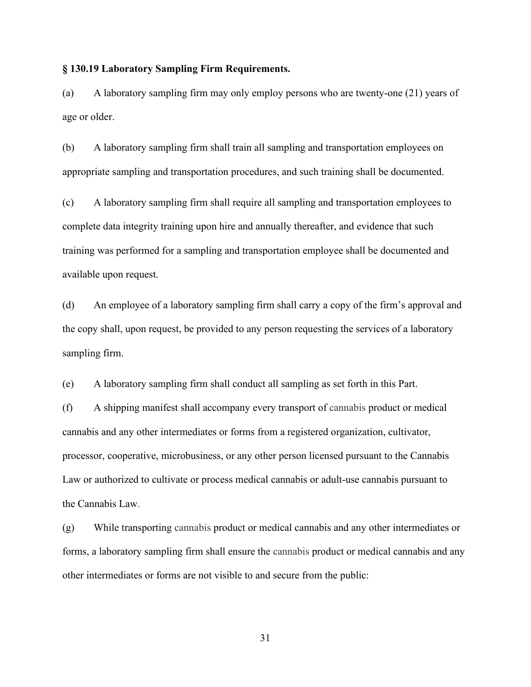## **§ 130.19 Laboratory Sampling Firm Requirements.**

(a) A laboratory sampling firm may only employ persons who are twenty-one (21) years of age or older.

(b) A laboratory sampling firm shall train all sampling and transportation employees on appropriate sampling and transportation procedures, and such training shall be documented.

(c) A laboratory sampling firm shall require all sampling and transportation employees to complete data integrity training upon hire and annually thereafter, and evidence that such training was performed for a sampling and transportation employee shall be documented and available upon request.

(d) An employee of a laboratory sampling firm shall carry a copy of the firm's approval and the copy shall, upon request, be provided to any person requesting the services of a laboratory sampling firm.

(e) A laboratory sampling firm shall conduct all sampling as set forth in this Part.

(f) A shipping manifest shall accompany every transport of cannabis product or medical cannabis and any other intermediates or forms from a registered organization, cultivator, processor, cooperative, microbusiness, or any other person licensed pursuant to the Cannabis Law or authorized to cultivate or process medical cannabis or adult-use cannabis pursuant to the Cannabis Law.

(g) While transporting cannabis product or medical cannabis and any other intermediates or forms, a laboratory sampling firm shall ensure the cannabis product or medical cannabis and any other intermediates or forms are not visible to and secure from the public: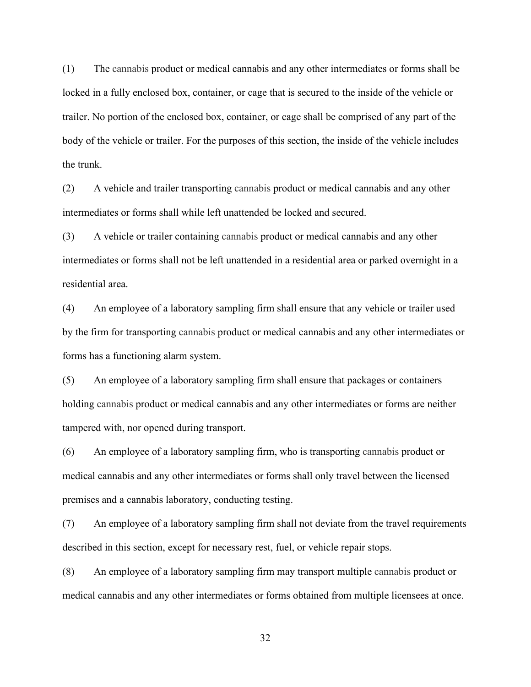(1) The cannabis product or medical cannabis and any other intermediates or forms shall be locked in a fully enclosed box, container, or cage that is secured to the inside of the vehicle or trailer. No portion of the enclosed box, container, or cage shall be comprised of any part of the body of the vehicle or trailer. For the purposes of this section, the inside of the vehicle includes the trunk.

(2) A vehicle and trailer transporting cannabis product or medical cannabis and any other intermediates or forms shall while left unattended be locked and secured.

(3) A vehicle or trailer containing cannabis product or medical cannabis and any other intermediates or forms shall not be left unattended in a residential area or parked overnight in a residential area.

(4) An employee of a laboratory sampling firm shall ensure that any vehicle or trailer used by the firm for transporting cannabis product or medical cannabis and any other intermediates or forms has a functioning alarm system.

(5) An employee of a laboratory sampling firm shall ensure that packages or containers holding cannabis product or medical cannabis and any other intermediates or forms are neither tampered with, nor opened during transport.

(6) An employee of a laboratory sampling firm, who is transporting cannabis product or medical cannabis and any other intermediates or forms shall only travel between the licensed premises and a cannabis laboratory, conducting testing.

(7) An employee of a laboratory sampling firm shall not deviate from the travel requirements described in this section, except for necessary rest, fuel, or vehicle repair stops.

(8) An employee of a laboratory sampling firm may transport multiple cannabis product or medical cannabis and any other intermediates or forms obtained from multiple licensees at once.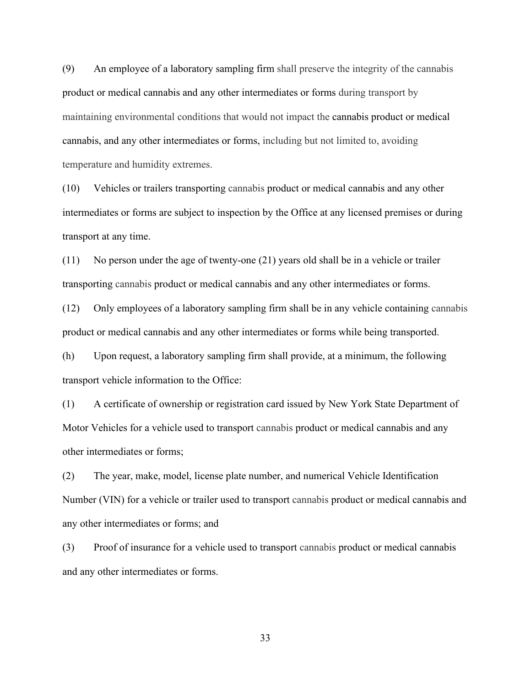(9) An employee of a laboratory sampling firm shall preserve the integrity of the cannabis product or medical cannabis and any other intermediates or forms during transport by maintaining environmental conditions that would not impact the cannabis product or medical cannabis, and any other intermediates or forms, including but not limited to, avoiding temperature and humidity extremes.

(10) Vehicles or trailers transporting cannabis product or medical cannabis and any other intermediates or forms are subject to inspection by the Office at any licensed premises or during transport at any time.

(11) No person under the age of twenty-one (21) years old shall be in a vehicle or trailer transporting cannabis product or medical cannabis and any other intermediates or forms.

(12) Only employees of a laboratory sampling firm shall be in any vehicle containing cannabis product or medical cannabis and any other intermediates or forms while being transported.

(h) Upon request, a laboratory sampling firm shall provide, at a minimum, the following transport vehicle information to the Office:

(1) A certificate of ownership or registration card issued by New York State Department of Motor Vehicles for a vehicle used to transport cannabis product or medical cannabis and any other intermediates or forms;

(2) The year, make, model, license plate number, and numerical Vehicle Identification Number (VIN) for a vehicle or trailer used to transport cannabis product or medical cannabis and any other intermediates or forms; and

(3) Proof of insurance for a vehicle used to transport cannabis product or medical cannabis and any other intermediates or forms.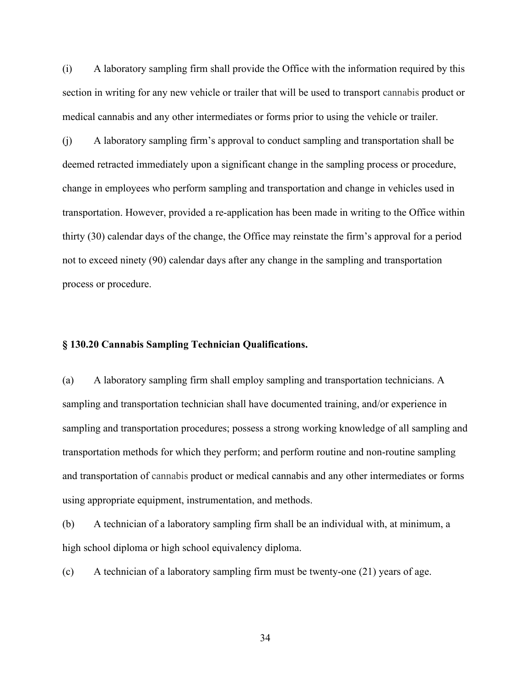(i) A laboratory sampling firm shall provide the Office with the information required by this section in writing for any new vehicle or trailer that will be used to transport cannabis product or medical cannabis and any other intermediates or forms prior to using the vehicle or trailer.

(j) A laboratory sampling firm's approval to conduct sampling and transportation shall be deemed retracted immediately upon a significant change in the sampling process or procedure, change in employees who perform sampling and transportation and change in vehicles used in transportation. However, provided a re-application has been made in writing to the Office within thirty (30) calendar days of the change, the Office may reinstate the firm's approval for a period not to exceed ninety (90) calendar days after any change in the sampling and transportation process or procedure.

## **§ 130.20 Cannabis Sampling Technician Qualifications.**

(a) A laboratory sampling firm shall employ sampling and transportation technicians. A sampling and transportation technician shall have documented training, and/or experience in sampling and transportation procedures; possess a strong working knowledge of all sampling and transportation methods for which they perform; and perform routine and non-routine sampling and transportation of cannabis product or medical cannabis and any other intermediates or forms using appropriate equipment, instrumentation, and methods.

(b) A technician of a laboratory sampling firm shall be an individual with, at minimum, a high school diploma or high school equivalency diploma.

(c) A technician of a laboratory sampling firm must be twenty-one (21) years of age.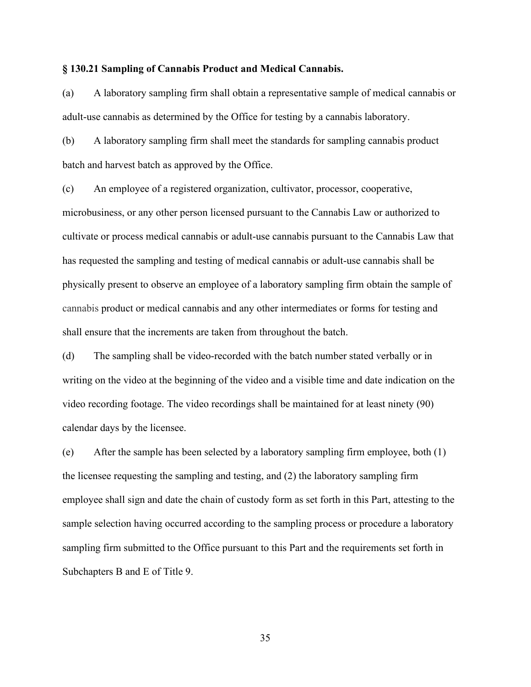#### **§ 130.21 Sampling of Cannabis Product and Medical Cannabis.**

(a) A laboratory sampling firm shall obtain a representative sample of medical cannabis or adult-use cannabis as determined by the Office for testing by a cannabis laboratory.

(b) A laboratory sampling firm shall meet the standards for sampling cannabis product batch and harvest batch as approved by the Office.

(c) An employee of a registered organization, cultivator, processor, cooperative, microbusiness, or any other person licensed pursuant to the Cannabis Law or authorized to cultivate or process medical cannabis or adult-use cannabis pursuant to the Cannabis Law that has requested the sampling and testing of medical cannabis or adult-use cannabis shall be physically present to observe an employee of a laboratory sampling firm obtain the sample of cannabis product or medical cannabis and any other intermediates or forms for testing and shall ensure that the increments are taken from throughout the batch.

(d) The sampling shall be video-recorded with the batch number stated verbally or in writing on the video at the beginning of the video and a visible time and date indication on the video recording footage. The video recordings shall be maintained for at least ninety (90) calendar days by the licensee.

(e) After the sample has been selected by a laboratory sampling firm employee, both (1) the licensee requesting the sampling and testing, and (2) the laboratory sampling firm employee shall sign and date the chain of custody form as set forth in this Part, attesting to the sample selection having occurred according to the sampling process or procedure a laboratory sampling firm submitted to the Office pursuant to this Part and the requirements set forth in Subchapters B and E of Title 9.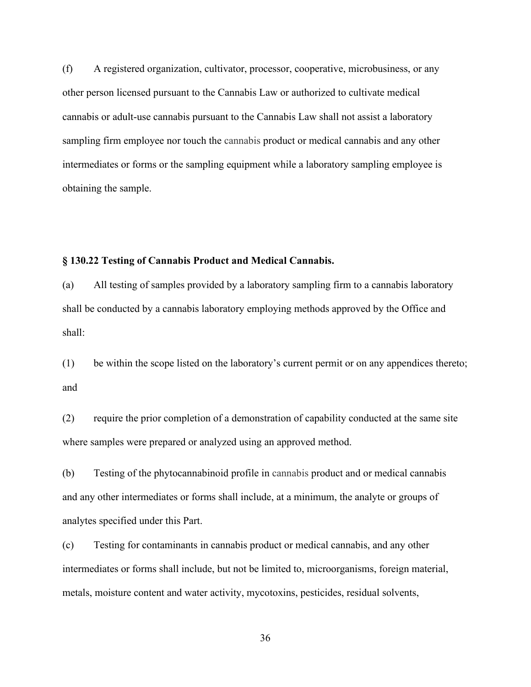(f) A registered organization, cultivator, processor, cooperative, microbusiness, or any other person licensed pursuant to the Cannabis Law or authorized to cultivate medical cannabis or adult-use cannabis pursuant to the Cannabis Law shall not assist a laboratory sampling firm employee nor touch the cannabis product or medical cannabis and any other intermediates or forms or the sampling equipment while a laboratory sampling employee is obtaining the sample.

#### **§ 130.22 Testing of Cannabis Product and Medical Cannabis.**

(a) All testing of samples provided by a laboratory sampling firm to a cannabis laboratory shall be conducted by a cannabis laboratory employing methods approved by the Office and shall:

(1) be within the scope listed on the laboratory's current permit or on any appendices thereto; and

(2) require the prior completion of a demonstration of capability conducted at the same site where samples were prepared or analyzed using an approved method.

(b) Testing of the phytocannabinoid profile in cannabis product and or medical cannabis and any other intermediates or forms shall include, at a minimum, the analyte or groups of analytes specified under this Part.

(c) Testing for contaminants in cannabis product or medical cannabis, and any other intermediates or forms shall include, but not be limited to, microorganisms, foreign material, metals, moisture content and water activity, mycotoxins, pesticides, residual solvents,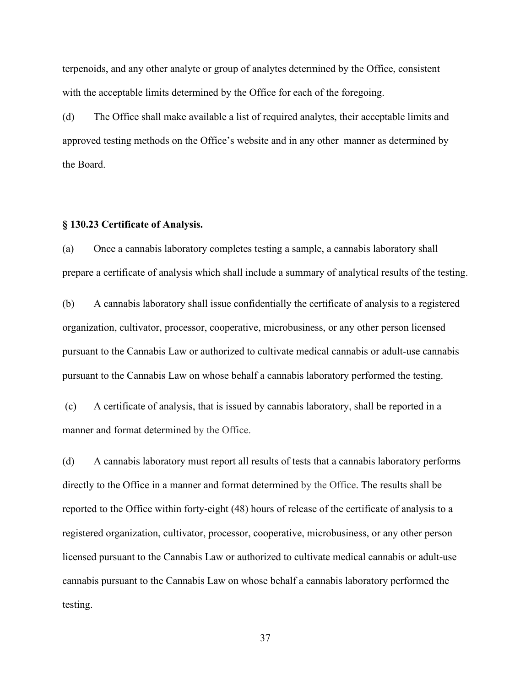terpenoids, and any other analyte or group of analytes determined by the Office, consistent with the acceptable limits determined by the Office for each of the foregoing.

(d) The Office shall make available a list of required analytes, their acceptable limits and approved testing methods on the Office's website and in any other manner as determined by the Board.

## **§ 130.23 Certificate of Analysis.**

(a) Once a cannabis laboratory completes testing a sample, a cannabis laboratory shall prepare a certificate of analysis which shall include a summary of analytical results of the testing.

(b) A cannabis laboratory shall issue confidentially the certificate of analysis to a registered organization, cultivator, processor, cooperative, microbusiness, or any other person licensed pursuant to the Cannabis Law or authorized to cultivate medical cannabis or adult-use cannabis pursuant to the Cannabis Law on whose behalf a cannabis laboratory performed the testing.

(c) A certificate of analysis, that is issued by cannabis laboratory, shall be reported in a manner and format determined by the Office.

(d) A cannabis laboratory must report all results of tests that a cannabis laboratory performs directly to the Office in a manner and format determined by the Office. The results shall be reported to the Office within forty-eight (48) hours of release of the certificate of analysis to a registered organization, cultivator, processor, cooperative, microbusiness, or any other person licensed pursuant to the Cannabis Law or authorized to cultivate medical cannabis or adult-use cannabis pursuant to the Cannabis Law on whose behalf a cannabis laboratory performed the testing.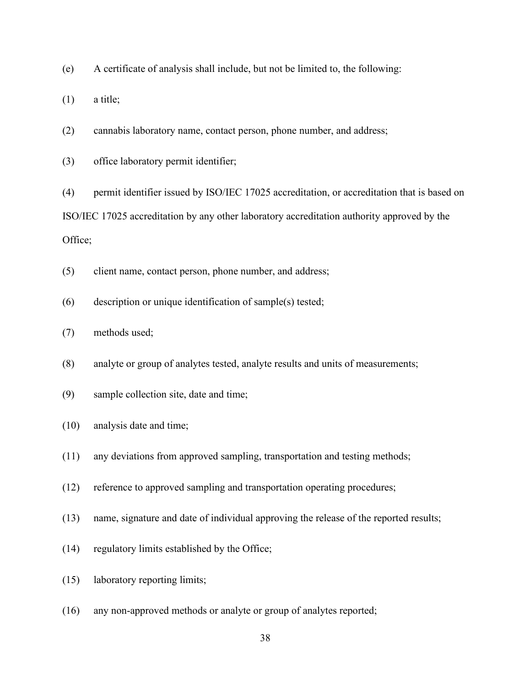(e) A certificate of analysis shall include, but not be limited to, the following:

(1) a title;

(2) cannabis laboratory name, contact person, phone number, and address;

(3) office laboratory permit identifier;

(4) permit identifier issued by ISO/IEC 17025 accreditation, or accreditation that is based on ISO/IEC 17025 accreditation by any other laboratory accreditation authority approved by the Office;

(5) client name, contact person, phone number, and address;

(6) description or unique identification of sample(s) tested;

(7) methods used;

(8) analyte or group of analytes tested, analyte results and units of measurements;

(9) sample collection site, date and time;

- (10) analysis date and time;
- (11) any deviations from approved sampling, transportation and testing methods;
- (12) reference to approved sampling and transportation operating procedures;
- (13) name, signature and date of individual approving the release of the reported results;
- (14) regulatory limits established by the Office;
- (15) laboratory reporting limits;
- (16) any non-approved methods or analyte or group of analytes reported;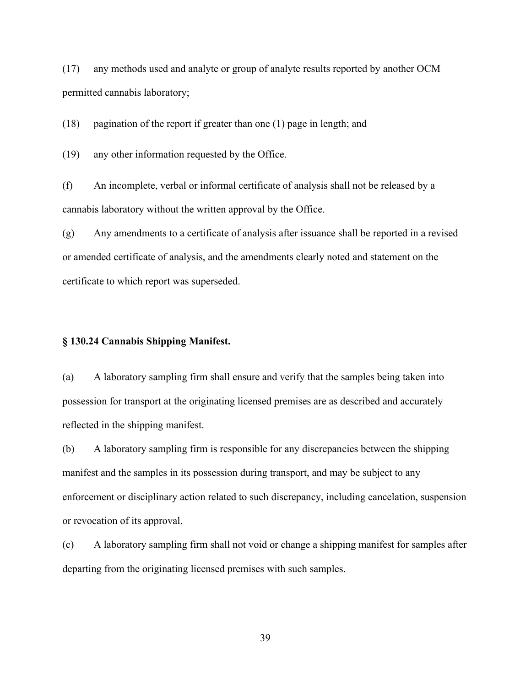(17) any methods used and analyte or group of analyte results reported by another OCM permitted cannabis laboratory;

(18) pagination of the report if greater than one (1) page in length; and

(19) any other information requested by the Office.

(f) An incomplete, verbal or informal certificate of analysis shall not be released by a cannabis laboratory without the written approval by the Office.

(g) Any amendments to a certificate of analysis after issuance shall be reported in a revised or amended certificate of analysis, and the amendments clearly noted and statement on the certificate to which report was superseded.

## **§ 130.24 Cannabis Shipping Manifest.**

(a) A laboratory sampling firm shall ensure and verify that the samples being taken into possession for transport at the originating licensed premises are as described and accurately reflected in the shipping manifest.

(b) A laboratory sampling firm is responsible for any discrepancies between the shipping manifest and the samples in its possession during transport, and may be subject to any enforcement or disciplinary action related to such discrepancy, including cancelation, suspension or revocation of its approval.

(c) A laboratory sampling firm shall not void or change a shipping manifest for samples after departing from the originating licensed premises with such samples.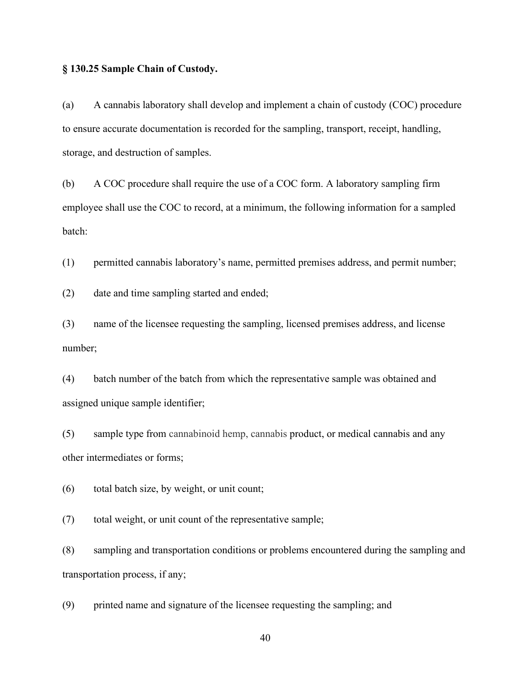#### **§ 130.25 Sample Chain of Custody.**

(a) A cannabis laboratory shall develop and implement a chain of custody (COC) procedure to ensure accurate documentation is recorded for the sampling, transport, receipt, handling, storage, and destruction of samples.

(b) A COC procedure shall require the use of a COC form. A laboratory sampling firm employee shall use the COC to record, at a minimum, the following information for a sampled batch:

(1) permitted cannabis laboratory's name, permitted premises address, and permit number;

(2) date and time sampling started and ended;

(3) name of the licensee requesting the sampling, licensed premises address, and license number;

(4) batch number of the batch from which the representative sample was obtained and assigned unique sample identifier;

(5) sample type from cannabinoid hemp, cannabis product, or medical cannabis and any other intermediates or forms;

(6) total batch size, by weight, or unit count;

(7) total weight, or unit count of the representative sample;

(8) sampling and transportation conditions or problems encountered during the sampling and transportation process, if any;

(9) printed name and signature of the licensee requesting the sampling; and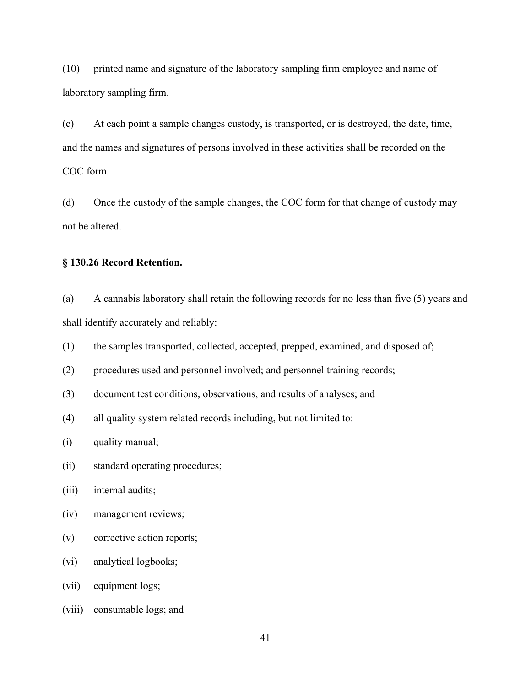(10) printed name and signature of the laboratory sampling firm employee and name of laboratory sampling firm.

(c) At each point a sample changes custody, is transported, or is destroyed, the date, time, and the names and signatures of persons involved in these activities shall be recorded on the COC form.

(d) Once the custody of the sample changes, the COC form for that change of custody may not be altered.

# **§ 130.26 Record Retention.**

(a) A cannabis laboratory shall retain the following records for no less than five (5) years and shall identify accurately and reliably:

(1) the samples transported, collected, accepted, prepped, examined, and disposed of;

- (2) procedures used and personnel involved; and personnel training records;
- (3) document test conditions, observations, and results of analyses; and
- (4) all quality system related records including, but not limited to:
- (i) quality manual;
- (ii) standard operating procedures;
- (iii) internal audits;
- (iv) management reviews;
- (v) corrective action reports;
- (vi) analytical logbooks;
- (vii) equipment logs;
- (viii) consumable logs; and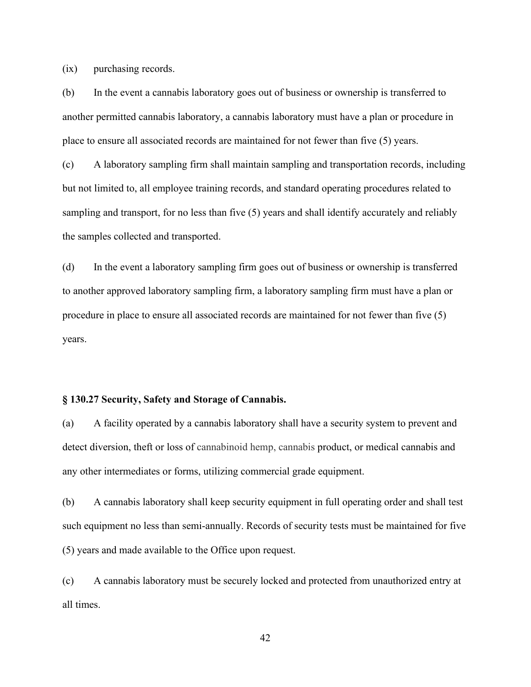(ix) purchasing records.

(b) In the event a cannabis laboratory goes out of business or ownership is transferred to another permitted cannabis laboratory, a cannabis laboratory must have a plan or procedure in place to ensure all associated records are maintained for not fewer than five (5) years.

(c) A laboratory sampling firm shall maintain sampling and transportation records, including but not limited to, all employee training records, and standard operating procedures related to sampling and transport, for no less than five (5) years and shall identify accurately and reliably the samples collected and transported.

(d) In the event a laboratory sampling firm goes out of business or ownership is transferred to another approved laboratory sampling firm, a laboratory sampling firm must have a plan or procedure in place to ensure all associated records are maintained for not fewer than five (5) years.

# **§ 130.27 Security, Safety and Storage of Cannabis.**

(a) A facility operated by a cannabis laboratory shall have a security system to prevent and detect diversion, theft or loss of cannabinoid hemp, cannabis product, or medical cannabis and any other intermediates or forms, utilizing commercial grade equipment.

(b) A cannabis laboratory shall keep security equipment in full operating order and shall test such equipment no less than semi-annually. Records of security tests must be maintained for five (5) years and made available to the Office upon request.

(c) A cannabis laboratory must be securely locked and protected from unauthorized entry at all times.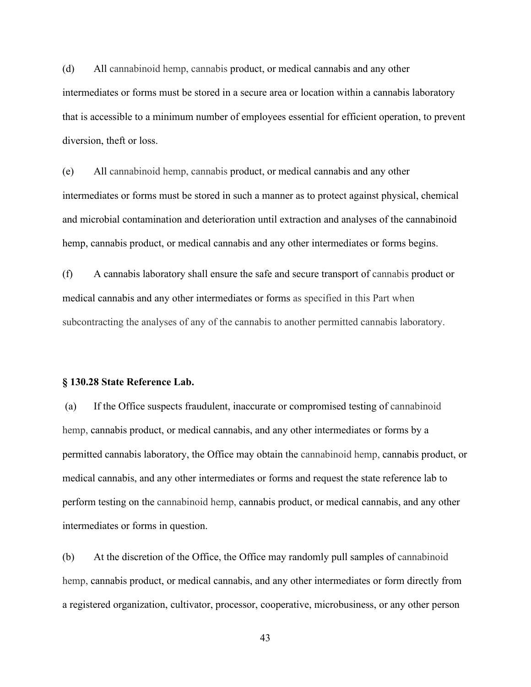(d) All cannabinoid hemp, cannabis product, or medical cannabis and any other intermediates or forms must be stored in a secure area or location within a cannabis laboratory that is accessible to a minimum number of employees essential for efficient operation, to prevent diversion, theft or loss.

(e) All cannabinoid hemp, cannabis product, or medical cannabis and any other intermediates or forms must be stored in such a manner as to protect against physical, chemical and microbial contamination and deterioration until extraction and analyses of the cannabinoid hemp, cannabis product, or medical cannabis and any other intermediates or forms begins.

(f) A cannabis laboratory shall ensure the safe and secure transport of cannabis product or medical cannabis and any other intermediates or forms as specified in this Part when subcontracting the analyses of any of the cannabis to another permitted cannabis laboratory.

#### **§ 130.28 State Reference Lab.**

(a) If the Office suspects fraudulent, inaccurate or compromised testing of cannabinoid hemp, cannabis product, or medical cannabis, and any other intermediates or forms by a permitted cannabis laboratory, the Office may obtain the cannabinoid hemp, cannabis product, or medical cannabis, and any other intermediates or forms and request the state reference lab to perform testing on the cannabinoid hemp, cannabis product, or medical cannabis, and any other intermediates or forms in question.

(b) At the discretion of the Office, the Office may randomly pull samples of cannabinoid hemp, cannabis product, or medical cannabis, and any other intermediates or form directly from a registered organization, cultivator, processor, cooperative, microbusiness, or any other person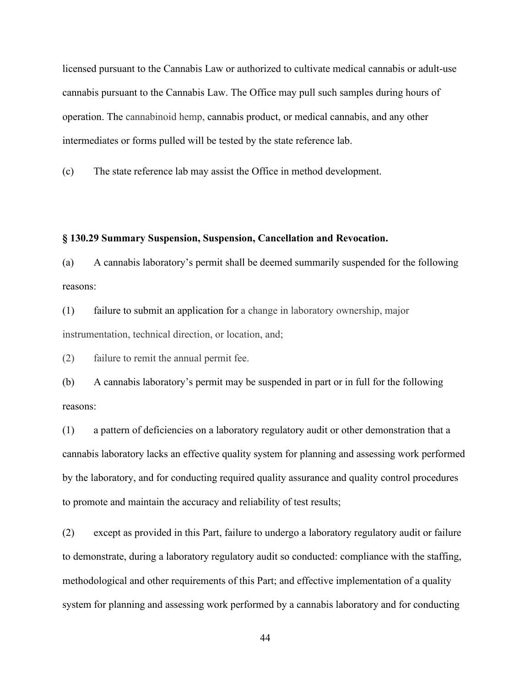licensed pursuant to the Cannabis Law or authorized to cultivate medical cannabis or adult-use cannabis pursuant to the Cannabis Law. The Office may pull such samples during hours of operation. The cannabinoid hemp, cannabis product, or medical cannabis, and any other intermediates or forms pulled will be tested by the state reference lab.

(c) The state reference lab may assist the Office in method development.

#### **§ 130.29 Summary Suspension, Suspension, Cancellation and Revocation.**

(a) A cannabis laboratory's permit shall be deemed summarily suspended for the following reasons:

(1) failure to submit an application for a change in laboratory ownership, major instrumentation, technical direction, or location, and;

(2) failure to remit the annual permit fee.

(b) A cannabis laboratory's permit may be suspended in part or in full for the following reasons:

(1) a pattern of deficiencies on a laboratory regulatory audit or other demonstration that a cannabis laboratory lacks an effective quality system for planning and assessing work performed by the laboratory, and for conducting required quality assurance and quality control procedures to promote and maintain the accuracy and reliability of test results;

(2) except as provided in this Part, failure to undergo a laboratory regulatory audit or failure to demonstrate, during a laboratory regulatory audit so conducted: compliance with the staffing, methodological and other requirements of this Part; and effective implementation of a quality system for planning and assessing work performed by a cannabis laboratory and for conducting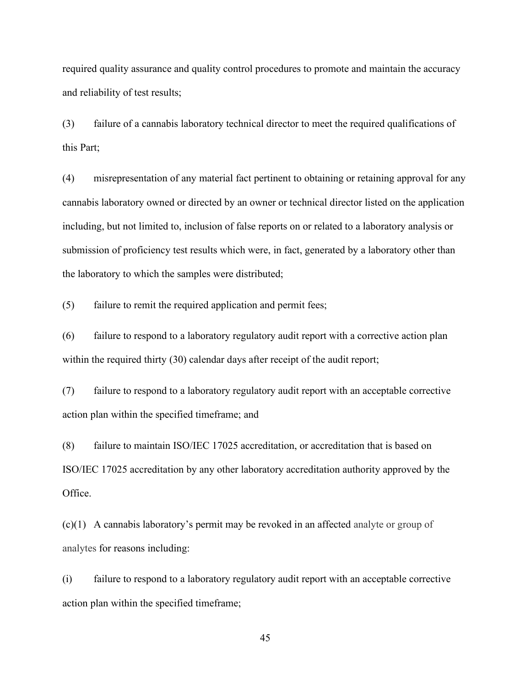required quality assurance and quality control procedures to promote and maintain the accuracy and reliability of test results;

(3) failure of a cannabis laboratory technical director to meet the required qualifications of this Part;

(4) misrepresentation of any material fact pertinent to obtaining or retaining approval for any cannabis laboratory owned or directed by an owner or technical director listed on the application including, but not limited to, inclusion of false reports on or related to a laboratory analysis or submission of proficiency test results which were, in fact, generated by a laboratory other than the laboratory to which the samples were distributed;

(5) failure to remit the required application and permit fees;

(6) failure to respond to a laboratory regulatory audit report with a corrective action plan within the required thirty (30) calendar days after receipt of the audit report;

(7) failure to respond to a laboratory regulatory audit report with an acceptable corrective action plan within the specified timeframe; and

(8) failure to maintain ISO/IEC 17025 accreditation, or accreditation that is based on ISO/IEC 17025 accreditation by any other laboratory accreditation authority approved by the Office.

(c)(1) A cannabis laboratory's permit may be revoked in an affected analyte or group of analytes for reasons including:

(i) failure to respond to a laboratory regulatory audit report with an acceptable corrective action plan within the specified timeframe;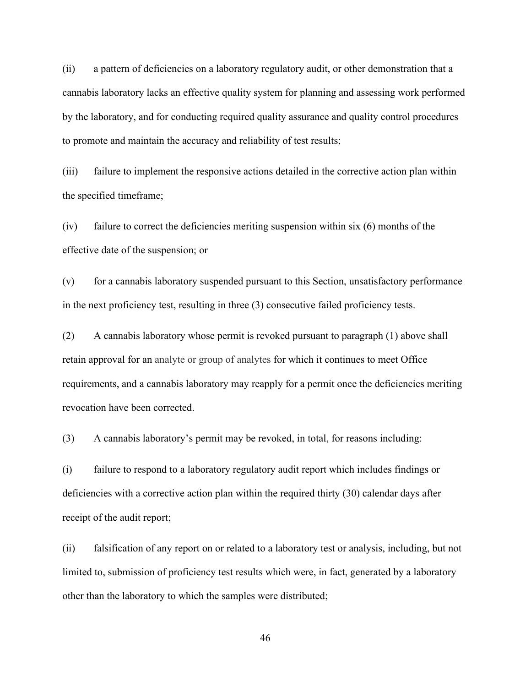(ii) a pattern of deficiencies on a laboratory regulatory audit, or other demonstration that a cannabis laboratory lacks an effective quality system for planning and assessing work performed by the laboratory, and for conducting required quality assurance and quality control procedures to promote and maintain the accuracy and reliability of test results;

(iii) failure to implement the responsive actions detailed in the corrective action plan within the specified timeframe;

(iv) failure to correct the deficiencies meriting suspension within six (6) months of the effective date of the suspension; or

(v) for a cannabis laboratory suspended pursuant to this Section, unsatisfactory performance in the next proficiency test, resulting in three (3) consecutive failed proficiency tests.

(2) A cannabis laboratory whose permit is revoked pursuant to paragraph (1) above shall retain approval for an analyte or group of analytes for which it continues to meet Office requirements, and a cannabis laboratory may reapply for a permit once the deficiencies meriting revocation have been corrected.

(3) A cannabis laboratory's permit may be revoked, in total, for reasons including:

(i) failure to respond to a laboratory regulatory audit report which includes findings or deficiencies with a corrective action plan within the required thirty (30) calendar days after receipt of the audit report;

(ii) falsification of any report on or related to a laboratory test or analysis, including, but not limited to, submission of proficiency test results which were, in fact, generated by a laboratory other than the laboratory to which the samples were distributed;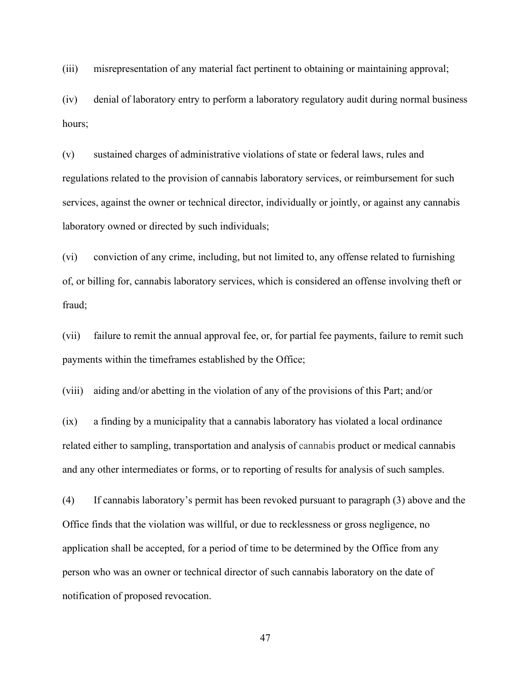(iii) misrepresentation of any material fact pertinent to obtaining or maintaining approval;

(iv) denial of laboratory entry to perform a laboratory regulatory audit during normal business hours;

(v) sustained charges of administrative violations of state or federal laws, rules and regulations related to the provision of cannabis laboratory services, or reimbursement for such services, against the owner or technical director, individually or jointly, or against any cannabis laboratory owned or directed by such individuals;

(vi) conviction of any crime, including, but not limited to, any offense related to furnishing of, or billing for, cannabis laboratory services, which is considered an offense involving theft or fraud;

(vii) failure to remit the annual approval fee, or, for partial fee payments, failure to remit such payments within the timeframes established by the Office;

(viii) aiding and/or abetting in the violation of any of the provisions of this Part; and/or

(ix) a finding by a municipality that a cannabis laboratory has violated a local ordinance related either to sampling, transportation and analysis of cannabis product or medical cannabis and any other intermediates or forms, or to reporting of results for analysis of such samples.

(4) If cannabis laboratory's permit has been revoked pursuant to paragraph (3) above and the Office finds that the violation was willful, or due to recklessness or gross negligence, no application shall be accepted, for a period of time to be determined by the Office from any person who was an owner or technical director of such cannabis laboratory on the date of notification of proposed revocation.